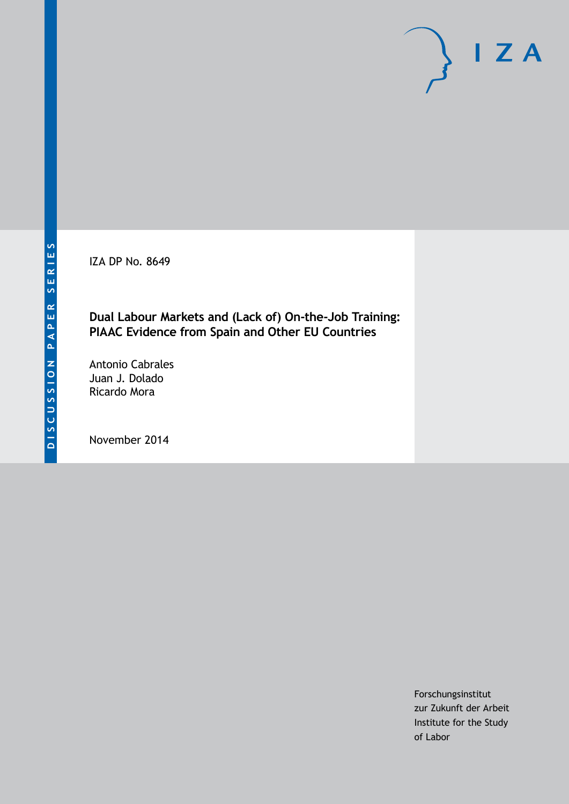IZA DP No. 8649

### **Dual Labour Markets and (Lack of) On-the-Job Training: PIAAC Evidence from Spain and Other EU Countries**

Antonio Cabrales Juan J. Dolado Ricardo Mora

November 2014

Forschungsinstitut zur Zukunft der Arbeit Institute for the Study of Labor

 $I Z A$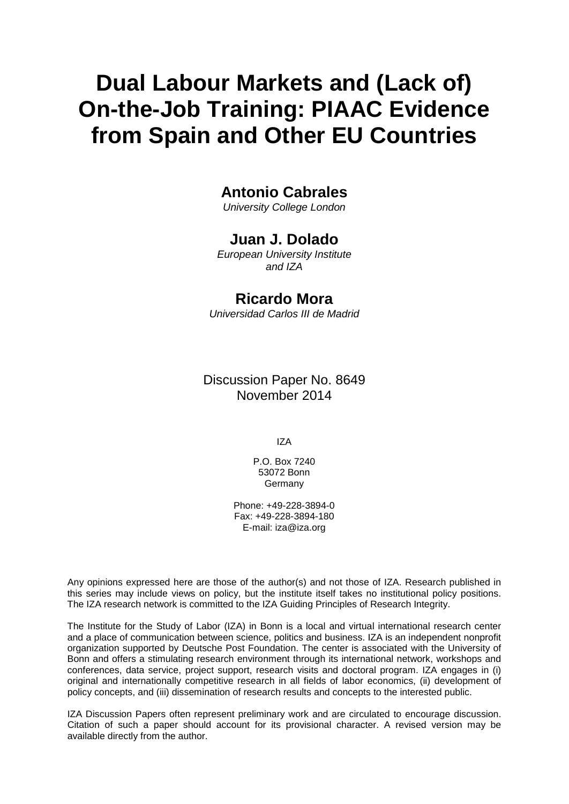# **Dual Labour Markets and (Lack of) On-the-Job Training: PIAAC Evidence from Spain and Other EU Countries**

## **Antonio Cabrales**

*University College London*

### **Juan J. Dolado**

*European University Institute and IZA*

### **Ricardo Mora**

*Universidad Carlos III de Madrid*

Discussion Paper No. 8649 November 2014

IZA

P.O. Box 7240 53072 Bonn **Germany** 

Phone: +49-228-3894-0 Fax: +49-228-3894-180 E-mail: [iza@iza.org](mailto:iza@iza.org)

Any opinions expressed here are those of the author(s) and not those of IZA. Research published in this series may include views on policy, but the institute itself takes no institutional policy positions. The IZA research network is committed to the IZA Guiding Principles of Research Integrity.

The Institute for the Study of Labor (IZA) in Bonn is a local and virtual international research center and a place of communication between science, politics and business. IZA is an independent nonprofit organization supported by Deutsche Post Foundation. The center is associated with the University of Bonn and offers a stimulating research environment through its international network, workshops and conferences, data service, project support, research visits and doctoral program. IZA engages in (i) original and internationally competitive research in all fields of labor economics, (ii) development of policy concepts, and (iii) dissemination of research results and concepts to the interested public.

<span id="page-1-0"></span>IZA Discussion Papers often represent preliminary work and are circulated to encourage discussion. Citation of such a paper should account for its provisional character. A revised version may be available directly from the author.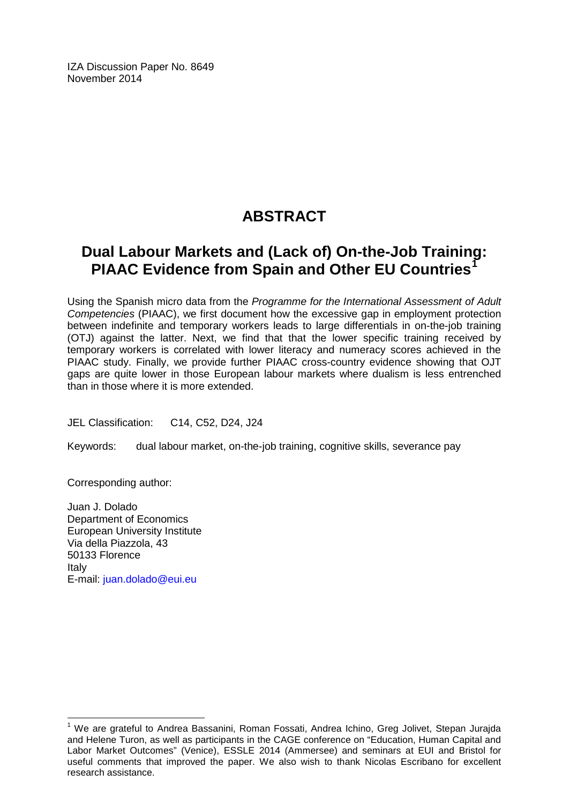IZA Discussion Paper No. 8649 November 2014

# **ABSTRACT**

# **Dual Labour Markets and (Lack of) On-the-Job Training: PIAAC Evidence from Spain and Other EU Countries**

Using the Spanish micro data from the *Programme for the International Assessment of Adult Competencies* (PIAAC), we first document how the excessive gap in employment protection between indefinite and temporary workers leads to large differentials in on-the-job training (OTJ) against the latter. Next, we find that that the lower specific training received by temporary workers is correlated with lower literacy and numeracy scores achieved in the PIAAC study. Finally, we provide further PIAAC cross-country evidence showing that OJT gaps are quite lower in those European labour markets where dualism is less entrenched than in those where it is more extended.

JEL Classification: C14, C52, D24, J24

Keywords: dual labour market, on-the-job training, cognitive skills, severance pay

Corresponding author:

Juan J. Dolado Department of Economics European University Institute Via della Piazzola, 43 50133 Florence Italy E-mail: [juan.dolado@eui.eu](mailto:juan.dolado@eui.eu)

<sup>&</sup>lt;sup>1</sup> We are grateful to Andrea Bassanini, Roman Fossati, Andrea Ichino, Greg Jolivet, Stepan Jurajda and Helene Turon, as well as participants in the CAGE conference on "Education, Human Capital and Labor Market Outcomes" (Venice), ESSLE 2014 (Ammersee) and seminars at EUI and Bristol for useful comments that improved the paper. We also wish to thank Nicolas Escribano for excellent research assistance.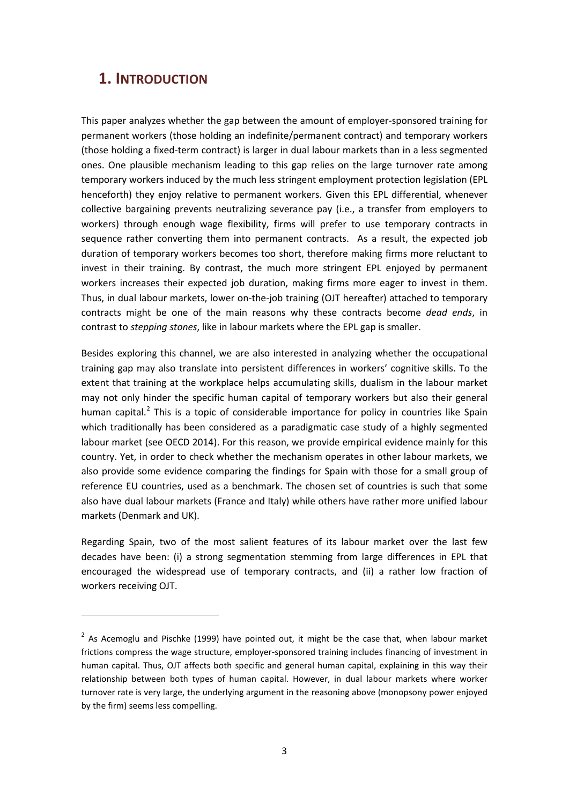### **1. INTRODUCTION**

 $\overline{\phantom{a}}$ 

This paper analyzes whether the gap between the amount of employer-sponsored training for permanent workers (those holding an indefinite/permanent contract) and temporary workers (those holding a fixed-term contract) is larger in dual labour markets than in a less segmented ones. One plausible mechanism leading to this gap relies on the large turnover rate among temporary workers induced by the much less stringent employment protection legislation (EPL henceforth) they enjoy relative to permanent workers. Given this EPL differential, whenever collective bargaining prevents neutralizing severance pay (i.e., a transfer from employers to workers) through enough wage flexibility, firms will prefer to use temporary contracts in sequence rather converting them into permanent contracts. As a result, the expected job duration of temporary workers becomes too short, therefore making firms more reluctant to invest in their training. By contrast, the much more stringent EPL enjoyed by permanent workers increases their expected job duration, making firms more eager to invest in them. Thus, in dual labour markets, lower on-the-job training (OJT hereafter) attached to temporary contracts might be one of the main reasons why these contracts become *dead ends*, in contrast to *stepping stones*, like in labour markets where the EPL gap is smaller.

Besides exploring this channel, we are also interested in analyzing whether the occupational training gap may also translate into persistent differences in workers' cognitive skills. To the extent that training at the workplace helps accumulating skills, dualism in the labour market may not only hinder the specific human capital of temporary workers but also their general human capital.<sup>2</sup> This is a topic of considerable importance for policy in countries like Spain which traditionally has been considered as a paradigmatic case study of a highly segmented labour market (see OECD 2014). For this reason, we provide empirical evidence mainly for this country. Yet, in order to check whether the mechanism operates in other labour markets, we also provide some evidence comparing the findings for Spain with those for a small group of reference EU countries, used as a benchmark. The chosen set of countries is such that some also have dual labour markets (France and Italy) while others have rather more unified labour markets (Denmark and UK).

Regarding Spain, two of the most salient features of its labour market over the last few decades have been: (i) a strong segmentation stemming from large differences in EPL that encouraged the widespread use of temporary contracts, and (ii) a rather low fraction of workers receiving OJT.

<span id="page-3-0"></span> $2$  As Acemoglu and Pischke (1999) have pointed out, it might be the case that, when labour market frictions compress the wage structure, employer-sponsored training includes financing of investment in human capital. Thus, OJT affects both specific and general human capital, explaining in this way their relationship between both types of human capital. However, in dual labour markets where worker turnover rate is very large, the underlying argument in the reasoning above (monopsony power enjoyed by the firm) seems less compelling.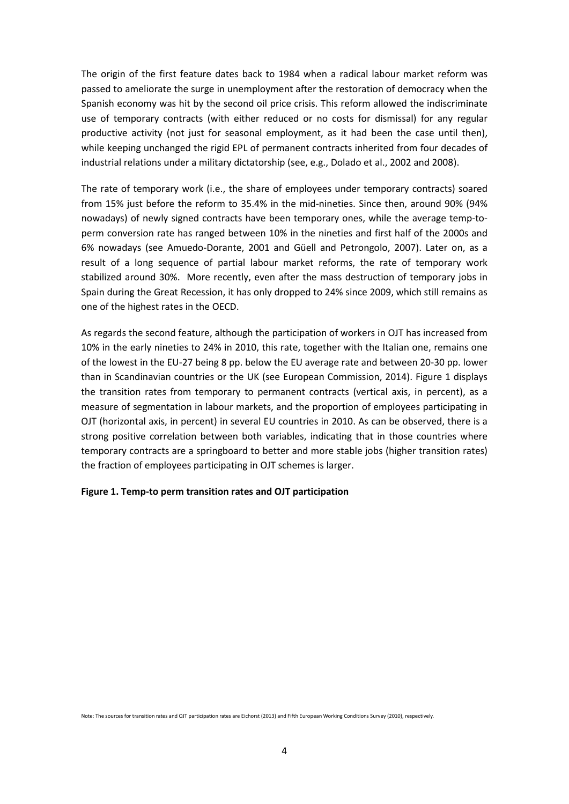The origin of the first feature dates back to 1984 when a radical labour market reform was passed to ameliorate the surge in unemployment after the restoration of democracy when the Spanish economy was hit by the second oil price crisis. This reform allowed the indiscriminate use of temporary contracts (with either reduced or no costs for dismissal) for any regular productive activity (not just for seasonal employment, as it had been the case until then), while keeping unchanged the rigid EPL of permanent contracts inherited from four decades of industrial relations under a military dictatorship (see, e.g., Dolado et al., 2002 and 2008).

The rate of temporary work (i.e., the share of employees under temporary contracts) soared from 15% just before the reform to 35.4% in the mid-nineties. Since then, around 90% (94% nowadays) of newly signed contracts have been temporary ones, while the average temp-toperm conversion rate has ranged between 10% in the nineties and first half of the 2000s and 6% nowadays (see Amuedo-Dorante, 2001 and Güell and Petrongolo, 2007). Later on, as a result of a long sequence of partial labour market reforms, the rate of temporary work stabilized around 30%. More recently, even after the mass destruction of temporary jobs in Spain during the Great Recession, it has only dropped to 24% since 2009, which still remains as one of the highest rates in the OECD.

As regards the second feature, although the participation of workers in OJT has increased from 10% in the early nineties to 24% in 2010, this rate, together with the Italian one, remains one of the lowest in the EU-27 being 8 pp. below the EU average rate and between 20-30 pp. lower than in Scandinavian countries or the UK (see European Commission, 2014). Figure 1 displays the transition rates from temporary to permanent contracts (vertical axis, in percent), as a measure of segmentation in labour markets, and the proportion of employees participating in OJT (horizontal axis, in percent) in several EU countries in 2010. As can be observed, there is a strong positive correlation between both variables, indicating that in those countries where temporary contracts are a springboard to better and more stable jobs (higher transition rates) the fraction of employees participating in OJT schemes is larger.

#### **Figure 1. Temp-to perm transition rates and OJT participation**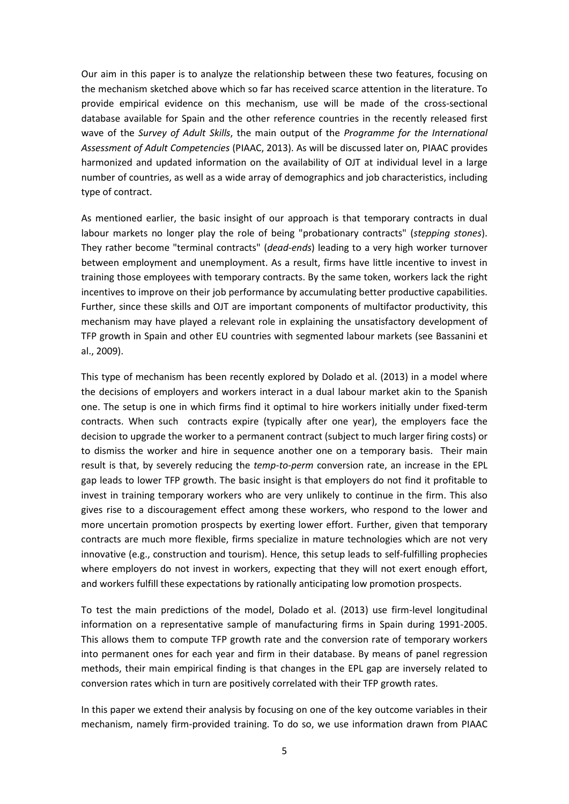Our aim in this paper is to analyze the relationship between these two features, focusing on the mechanism sketched above which so far has received scarce attention in the literature. To provide empirical evidence on this mechanism, use will be made of the cross-sectional database available for Spain and the other reference countries in the recently released first wave of the *Survey of Adult Skills*, the main output of the *Programme for the International Assessment of Adult Competencies* (PIAAC, 2013). As will be discussed later on, PIAAC provides harmonized and updated information on the availability of OJT at individual level in a large number of countries, as well as a wide array of demographics and job characteristics, including type of contract.

As mentioned earlier, the basic insight of our approach is that temporary contracts in dual labour markets no longer play the role of being "probationary contracts" (*stepping stones*). They rather become "terminal contracts" (*dead-ends*) leading to a very high worker turnover between employment and unemployment. As a result, firms have little incentive to invest in training those employees with temporary contracts. By the same token, workers lack the right incentives to improve on their job performance by accumulating better productive capabilities. Further, since these skills and OJT are important components of multifactor productivity, this mechanism may have played a relevant role in explaining the unsatisfactory development of TFP growth in Spain and other EU countries with segmented labour markets (see Bassanini et al., 2009).

This type of mechanism has been recently explored by Dolado et al. (2013) in a model where the decisions of employers and workers interact in a dual labour market akin to the Spanish one. The setup is one in which firms find it optimal to hire workers initially under fixed-term contracts. When such contracts expire (typically after one year), the employers face the decision to upgrade the worker to a permanent contract (subject to much larger firing costs) or to dismiss the worker and hire in sequence another one on a temporary basis. Their main result is that, by severely reducing the *temp-to-perm* conversion rate, an increase in the EPL gap leads to lower TFP growth. The basic insight is that employers do not find it profitable to invest in training temporary workers who are very unlikely to continue in the firm. This also gives rise to a discouragement effect among these workers, who respond to the lower and more uncertain promotion prospects by exerting lower effort. Further, given that temporary contracts are much more flexible, firms specialize in mature technologies which are not very innovative (e.g., construction and tourism). Hence, this setup leads to self-fulfilling prophecies where employers do not invest in workers, expecting that they will not exert enough effort, and workers fulfill these expectations by rationally anticipating low promotion prospects.

To test the main predictions of the model, Dolado et al. (2013) use firm-level longitudinal information on a representative sample of manufacturing firms in Spain during 1991-2005. This allows them to compute TFP growth rate and the conversion rate of temporary workers into permanent ones for each year and firm in their database. By means of panel regression methods, their main empirical finding is that changes in the EPL gap are inversely related to conversion rates which in turn are positively correlated with their TFP growth rates.

In this paper we extend their analysis by focusing on one of the key outcome variables in their mechanism, namely firm-provided training. To do so, we use information drawn from PIAAC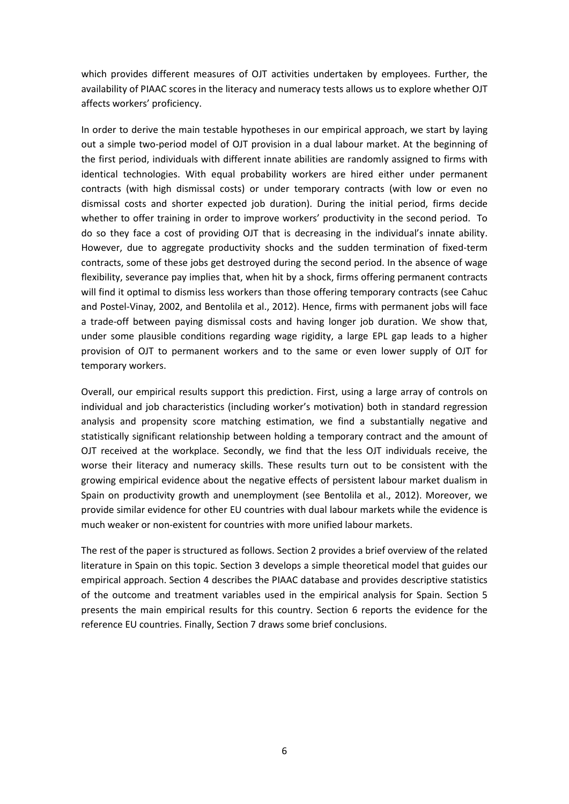which provides different measures of OJT activities undertaken by employees. Further, the availability of PIAAC scores in the literacy and numeracy tests allows us to explore whether OJT affects workers' proficiency.

In order to derive the main testable hypotheses in our empirical approach, we start by laying out a simple two-period model of OJT provision in a dual labour market. At the beginning of the first period, individuals with different innate abilities are randomly assigned to firms with identical technologies. With equal probability workers are hired either under permanent contracts (with high dismissal costs) or under temporary contracts (with low or even no dismissal costs and shorter expected job duration). During the initial period, firms decide whether to offer training in order to improve workers' productivity in the second period. To do so they face a cost of providing OJT that is decreasing in the individual's innate ability. However, due to aggregate productivity shocks and the sudden termination of fixed-term contracts, some of these jobs get destroyed during the second period. In the absence of wage flexibility, severance pay implies that, when hit by a shock, firms offering permanent contracts will find it optimal to dismiss less workers than those offering temporary contracts (see Cahuc and Postel-Vinay, 2002, and Bentolila et al., 2012). Hence, firms with permanent jobs will face a trade-off between paying dismissal costs and having longer job duration. We show that, under some plausible conditions regarding wage rigidity, a large EPL gap leads to a higher provision of OJT to permanent workers and to the same or even lower supply of OJT for temporary workers.

Overall, our empirical results support this prediction. First, using a large array of controls on individual and job characteristics (including worker's motivation) both in standard regression analysis and propensity score matching estimation, we find a substantially negative and statistically significant relationship between holding a temporary contract and the amount of OJT received at the workplace. Secondly, we find that the less OJT individuals receive, the worse their literacy and numeracy skills. These results turn out to be consistent with the growing empirical evidence about the negative effects of persistent labour market dualism in Spain on productivity growth and unemployment (see Bentolila et al., 2012). Moreover, we provide similar evidence for other EU countries with dual labour markets while the evidence is much weaker or non-existent for countries with more unified labour markets.

The rest of the paper is structured as follows. Section 2 provides a brief overview of the related literature in Spain on this topic. Section 3 develops a simple theoretical model that guides our empirical approach. Section 4 describes the PIAAC database and provides descriptive statistics of the outcome and treatment variables used in the empirical analysis for Spain. Section 5 presents the main empirical results for this country. Section 6 reports the evidence for the reference EU countries. Finally, Section 7 draws some brief conclusions.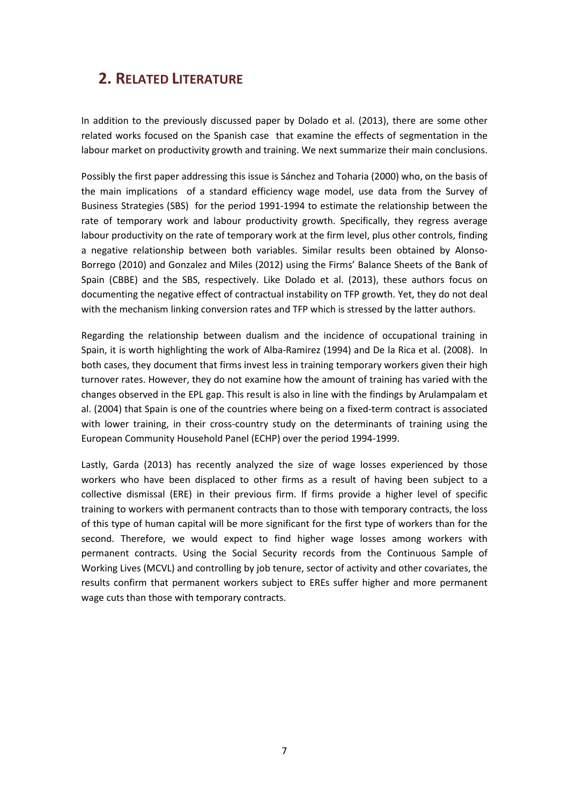# **2. RELATED LITERATURE**

In addition to the previously discussed paper by Dolado et al. (2013), there are some other related works focused on the Spanish case that examine the effects of segmentation in the labour market on productivity growth and training. We next summarize their main conclusions.

Possibly the first paper addressing this issue is Sánchez and Toharia (2000) who, on the basis of the main implications of a standard efficiency wage model, use data from the Survey of Business Strategies (SBS) for the period 1991-1994 to estimate the relationship between the rate of temporary work and labour productivity growth. Specifically, they regress average labour productivity on the rate of temporary work at the firm level, plus other controls, finding a negative relationship between both variables. Similar results been obtained by Alonso-Borrego (2010) and Gonzalez and Miles (2012) using the Firms' Balance Sheets of the Bank of Spain (CBBE) and the SBS, respectively. Like Dolado et al. (2013), these authors focus on documenting the negative effect of contractual instability on TFP growth. Yet, they do not deal with the mechanism linking conversion rates and TFP which is stressed by the latter authors.

Regarding the relationship between dualism and the incidence of occupational training in Spain, it is worth highlighting the work of Alba-Ramirez (1994) and De la Rica et al. (2008). In both cases, they document that firms invest less in training temporary workers given their high turnover rates. However, they do not examine how the amount of training has varied with the changes observed in the EPL gap. This result is also in line with the findings by Arulampalam et al. (2004) that Spain is one of the countries where being on a fixed-term contract is associated with lower training, in their cross-country study on the determinants of training using the European Community Household Panel (ECHP) over the period 1994-1999.

Lastly, Garda (2013) has recently analyzed the size of wage losses experienced by those workers who have been displaced to other firms as a result of having been subject to a collective dismissal (ERE) in their previous firm. If firms provide a higher level of specific training to workers with permanent contracts than to those with temporary contracts, the loss of this type of human capital will be more significant for the first type of workers than for the second. Therefore, we would expect to find higher wage losses among workers with permanent contracts. Using the Social Security records from the Continuous Sample of Working Lives (MCVL) and controlling by job tenure, sector of activity and other covariates, the results confirm that permanent workers subject to EREs suffer higher and more permanent wage cuts than those with temporary contracts.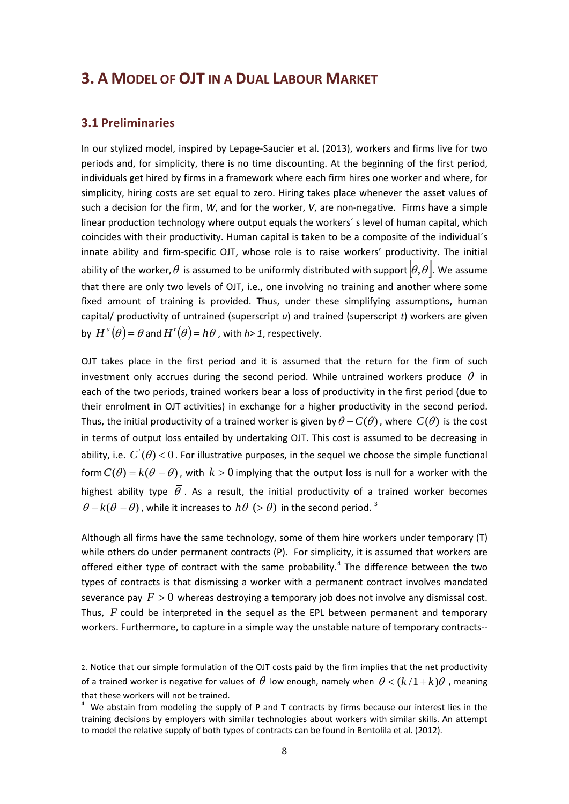### **3. A MODEL OF OJT IN A DUAL LABOUR MARKET**

#### **3.1 Preliminaries**

 $\overline{\phantom{a}}$ 

In our stylized model, inspired by Lepage-Saucier et al. (2013), workers and firms live for two periods and, for simplicity, there is no time discounting. At the beginning of the first period, individuals get hired by firms in a framework where each firm hires one worker and where, for simplicity, hiring costs are set equal to zero. Hiring takes place whenever the asset values of such a decision for the firm, *W*, and for the worker, *V*, are non-negative. Firms have a simple linear production technology where output equals the workers´ s level of human capital, which coincides with their productivity. Human capital is taken to be a composite of the individual´s innate ability and firm-specific OJT, whose role is to raise workers' productivity. The initial ability of the worker,  $\theta$  is assumed to be uniformly distributed with support  $[\theta,\overline{\theta}]$ . We assume that there are only two levels of OJT, i.e., one involving no training and another where some fixed amount of training is provided. Thus, under these simplifying assumptions, human capital/ productivity of untrained (superscript *u*) and trained (superscript *t*) workers are given by  $H^u(\theta) = \theta$  and  $H^t(\theta) = h\theta$  , with  $h > 1$ , respectively.

OJT takes place in the first period and it is assumed that the return for the firm of such investment only accrues during the second period. While untrained workers produce  $\theta$  in each of the two periods, trained workers bear a loss of productivity in the first period (due to their enrolment in OJT activities) in exchange for a higher productivity in the second period. Thus, the initial productivity of a trained worker is given by  $\theta - C(\theta)$ , where  $C(\theta)$  is the cost in terms of output loss entailed by undertaking OJT. This cost is assumed to be decreasing in ability, i.e.  $C'(\theta) < 0$ . For illustrative purposes, in the sequel we choose the simple functional form  $C(\theta) = k(\overline{\theta} - \theta)$ , with  $k > 0$  implying that the output loss is null for a worker with the highest ability type  $\overline{\theta}$ . As a result, the initial productivity of a trained worker becomes  $\theta - k(\overline{\theta} - \theta)$ , while it increases to  $h\theta$  (>  $\theta$ ) in the second period. <sup>[3](#page-3-0)</sup>

Although all firms have the same technology, some of them hire workers under temporary (T) while others do under permanent contracts (P). For simplicity, it is assumed that workers are offered either type of contract with the same probability.<sup>[4](#page-8-0)</sup> The difference between the two types of contracts is that dismissing a worker with a permanent contract involves mandated severance pay  $F > 0$  whereas destroying a temporary job does not involve any dismissal cost. Thus, *F* could be interpreted in the sequel as the EPL between permanent and temporary workers. Furthermore, to capture in a simple way the unstable nature of temporary contracts--

<sup>2.</sup> Notice that our simple formulation of the OJT costs paid by the firm implies that the net productivity of a trained worker is negative for values of  $\theta$  low enough, namely when  $\theta < (k/1+k)\theta$ , meaning that these workers will not be trained.<br><sup>4</sup> We abstain from modeling the supply of P and T contracts by firms because our interest lies in the

<span id="page-8-1"></span><span id="page-8-0"></span>training decisions by employers with similar technologies about workers with similar skills. An attempt to model the relative supply of both types of contracts can be found in Bentolila et al. (2012).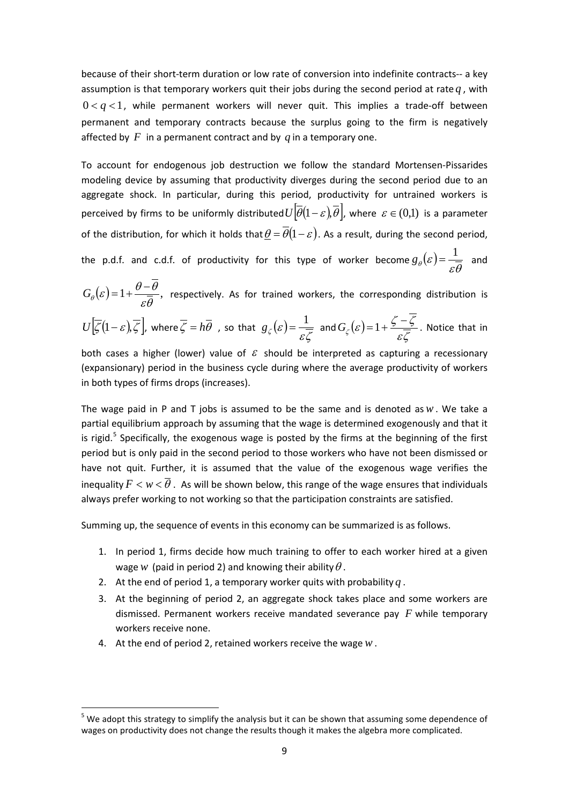because of their short-term duration or low rate of conversion into indefinite contracts-- a key assumption is that temporary workers quit their jobs during the second period at rate  $q$ , with  $0 < q < 1$ , while permanent workers will never quit. This implies a trade-off between permanent and temporary contracts because the surplus going to the firm is negatively affected by  $F$  in a permanent contract and by  $q$  in a temporary one.

To account for endogenous job destruction we follow the standard Mortensen-Pissarides modeling device by assuming that productivity diverges during the second period due to an aggregate shock. In particular, during this period, productivity for untrained workers is perceived by firms to be uniformly distributed  $U[\overline{\theta}(1-\varepsilon),\overline{\theta}]$ , where  $\varepsilon \in (0,1)$  is a parameter of the distribution, for which it holds that  $\underline{\theta} = \overline{\theta}(1-\varepsilon)$ . As a result, during the second period, the p.d.f. and c.d.f. of productivity for this type of worker become  $g_{\theta}(\varepsilon) = \dfrac{1}{\varepsilon\overline{\theta}}$  and

 $(\varepsilon) = 1 + \frac{\theta - \theta}{\varepsilon \overline{\theta}},$  $G_{\theta}(\varepsilon)$  =  $1 + \frac{\theta - \theta}{\sqrt{2}}$ , respectively. As for trained workers, the corresponding distribution is

$$
U\left[\overline{\zeta}(1-\varepsilon),\overline{\zeta}\right], \text{ where } \overline{\zeta} = h\overline{\theta} \text{ , so that } g_{\zeta}(\varepsilon) = \frac{1}{\varepsilon\overline{\zeta}} \text{ and } G_{\zeta}(\varepsilon) = 1 + \frac{\zeta - \zeta}{\varepsilon\overline{\zeta}}. \text{ Notice that in}
$$

both cases a higher (lower) value of  $\mathcal E$  should be interpreted as capturing a recessionary (expansionary) period in the business cycle during where the average productivity of workers in both types of firms drops (increases).

The wage paid in P and T jobs is assumed to be the same and is denoted as*w*. We take a partial equilibrium approach by assuming that the wage is determined exogenously and that it is rigid.<sup>[5](#page-8-1)</sup> Specifically, the exogenous wage is posted by the firms at the beginning of the first period but is only paid in the second period to those workers who have not been dismissed or have not quit. Further, it is assumed that the value of the exogenous wage verifies the inequality  $F < w < \overline{\theta}$ . As will be shown below, this range of the wage ensures that individuals always prefer working to not working so that the participation constraints are satisfied.

Summing up, the sequence of events in this economy can be summarized is as follows.

- 1. In period 1, firms decide how much training to offer to each worker hired at a given wage *w* (paid in period 2) and knowing their ability  $\theta$ .
- 2. At the end of period 1, a temporary worker quits with probability  $q$ .
- 3. At the beginning of period 2, an aggregate shock takes place and some workers are dismissed. Permanent workers receive mandated severance pay *F* while temporary workers receive none.
- <span id="page-9-0"></span>4. At the end of period 2, retained workers receive the wage *w*.

 $<sup>5</sup>$  We adopt this strategy to simplify the analysis but it can be shown that assuming some dependence of</sup> wages on productivity does not change the results though it makes the algebra more complicated.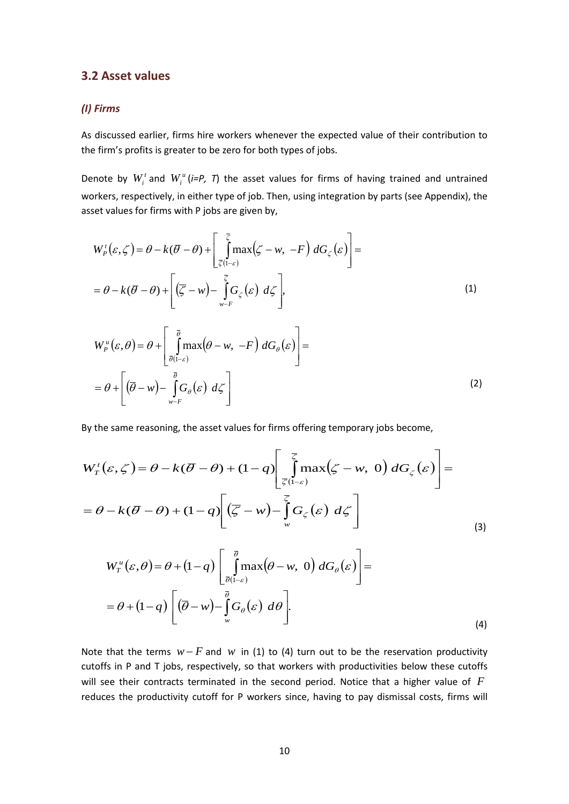#### **3.2 Asset values**

#### *(I) Firms*

As discussed earlier, firms hire workers whenever the expected value of their contribution to the firm's profits is greater to be zero for both types of jobs.

Denote by  $W_i^t$  and  $W_i^u$  (*i*=P, T) the asset values for firms of having trained and untrained workers, respectively, in either type of job. Then, using integration by parts (see Appendix), the asset values for firms with P jobs are given by,

$$
W_p^{\dagger}(\varepsilon, \zeta) = \theta - k(\overline{\theta} - \theta) + \left[ \int_{\overline{\zeta}(1-\varepsilon)}^{\overline{\zeta}} \max(\zeta - w, -F) dG_{\zeta}(\varepsilon) \right] =
$$
  
=  $\theta - k(\overline{\theta} - \theta) + \left[ (\overline{\zeta} - w) - \int_{w-F}^{\overline{\zeta}} G_{\zeta}(\varepsilon) d\zeta \right],$  (1)

$$
W_{P}^{u}(\varepsilon, \theta) = \theta + \left[ \int_{\overline{\theta}(\mathsf{I} - \varepsilon)}^{\overline{\theta}} \max(\theta - w, -F) \, dG_{\theta}(\varepsilon) \right] =
$$
  
=  $\theta + \left[ (\overline{\theta} - w) - \int_{w-F}^{\overline{\theta}} G_{\theta}(\varepsilon) \, d\zeta \right]$  (2)

By the same reasoning, the asset values for firms offering temporary jobs become,

$$
W_{T}^{t}(\varepsilon, \zeta) = \theta - k(\overline{\theta} - \theta) + (1 - q) \left[ \int_{\overline{\zeta}(1-\varepsilon)}^{\overline{\zeta}} \max(\zeta - w, 0) dG_{\zeta}(\varepsilon) \right] =
$$
  
=  $\theta - k(\overline{\theta} - \theta) + (1 - q) \left[ (\overline{\zeta} - w) - \int_{w}^{\overline{\zeta}} G_{\zeta}(\varepsilon) d\zeta \right]$  (3)

$$
W_T^u(\varepsilon, \theta) = \theta + (1 - q) \left[ \int_{\overline{\theta}(1-\varepsilon)}^{\overline{\theta}} \max(\theta - w, 0) dG_{\theta}(\varepsilon) \right] =
$$
  
=  $\theta + (1 - q) \left[ (\overline{\theta} - w) - \int_w^{\overline{\theta}} G_{\theta}(\varepsilon) d\theta \right].$  (4)

Note that the terms  $w - F$  and  $w$  in (1) to (4) turn out to be the reservation productivity cutoffs in P and T jobs, respectively, so that workers with productivities below these cutoffs will see their contracts terminated in the second period. Notice that a higher value of *F* reduces the productivity cutoff for P workers since, having to pay dismissal costs, firms will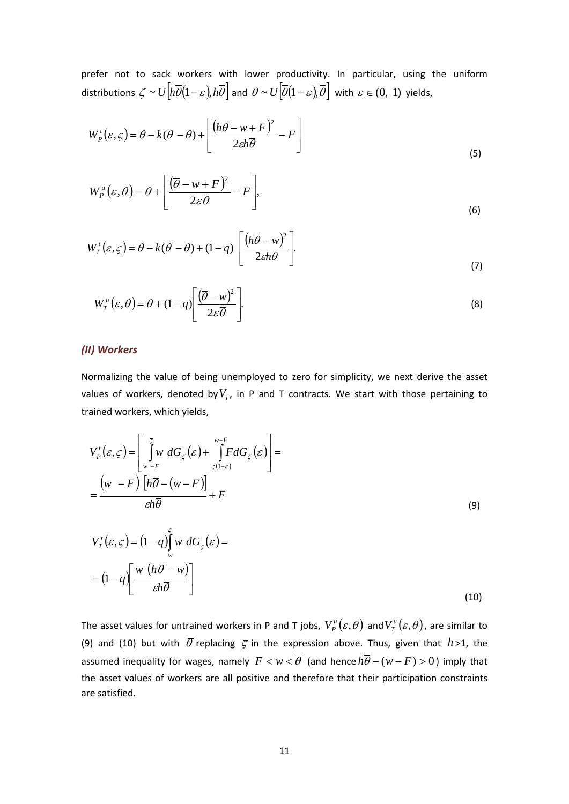prefer not to sack workers with lower productivity. In particular, using the uniform distributions  $\zeta \sim U\left[h\overline{\theta}(1-\varepsilon),h\overline{\theta}\right]$  and  $\theta \sim U\left[\overline{\theta}(1-\varepsilon),\overline{\theta}\right]$  with  $\varepsilon \in (0, 1)$  yields,

$$
W_p^{\dagger}(\varepsilon, \varsigma) = \theta - k(\overline{\theta} - \theta) + \left[ \frac{\left( h\overline{\theta} - w + F \right)^2}{2\epsilon h \overline{\theta}} - F \right]
$$
\n(5)

$$
W_{P}^{u}(\varepsilon,\theta) = \theta + \left[\frac{(\overline{\theta} - w + F)^{2}}{2\varepsilon\overline{\theta}} - F\right],
$$
\n(6)

$$
W_T^{\dagger}(\varepsilon, \varsigma) = \theta - k(\overline{\theta} - \theta) + (1 - q) \left[ \frac{\left( h\overline{\theta} - w \right)^2}{2\epsilon h\overline{\theta}} \right].
$$
\n(7)

$$
W_I^u(\varepsilon,\theta) = \theta + (1-q) \left[ \frac{(\overline{\theta} - w)^2}{2\varepsilon \overline{\theta}} \right].
$$
 (8)

#### *(II) Workers*

Normalizing the value of being unemployed to zero for simplicity, we next derive the asset values of workers, denoted by  $V_i$ , in P and T contracts. We start with those pertaining to trained workers, which yields,

$$
V_p^t(\varepsilon, \zeta) = \left[ \int_{w-F}^{\overline{\zeta}} w \, dG_{\zeta}(\varepsilon) + \int_{\overline{\zeta}(1-\varepsilon)}^{w-F} F dG_{\zeta}(\varepsilon) \right] =
$$
  
\n
$$
= \frac{(w-F) \left[ h\overline{\theta} - (w-F) \right]}{\varepsilon h \overline{\theta}} + F
$$
  
\n
$$
V_T^t(\varepsilon, \zeta) = (1-q) \int_{w}^{\overline{\zeta}} w \, dG_{\zeta}(\varepsilon) =
$$
  
\n
$$
= (1-q) \left[ \frac{w \left( h\overline{\theta} - w \right)}{\varepsilon h \overline{\theta}} \right]
$$
  
\n(10)

The asset values for untrained workers in P and T jobs,  $V^{\mu}_{p}(\varepsilon, \theta)$  and  $V^{\mu}_{T}(\varepsilon, \theta)$ , are similar to (9) and (10) but with  $\bar{\theta}$  replacing  $\bar{\zeta}$  in the expression above. Thus, given that  $h > 1$ , the assumed inequality for wages, namely  $F < w < \overline{\theta}$  (and hence  $h\overline{\theta} - (w - F) > 0$ ) imply that the asset values of workers are all positive and therefore that their participation constraints are satisfied.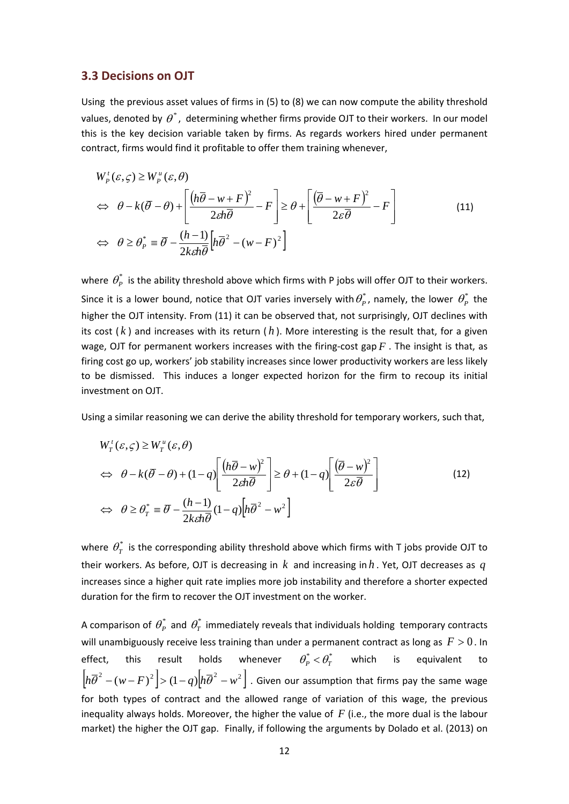#### **3.3 Decisions on OJT**

Using the previous asset values of firms in (5) to (8) we can now compute the ability threshold values, denoted by  $\theta^*$ , determining whether firms provide OJT to their workers. In our model this is the key decision variable taken by firms. As regards workers hired under permanent contract, firms would find it profitable to offer them training whenever,

$$
W_p^{\dagger}(\varepsilon, \zeta) \ge W_p^{\mu}(\varepsilon, \theta)
$$
  
\n
$$
\Leftrightarrow \theta - k(\overline{\theta} - \theta) + \left[ \frac{(h\overline{\theta} - w + F)^2}{2\varepsilon h \overline{\theta}} - F \right] \ge \theta + \left[ \frac{(\overline{\theta} - w + F)^2}{2\varepsilon \overline{\theta}} - F \right]
$$
  
\n
$$
\Leftrightarrow \theta \ge \theta_p^* \equiv \overline{\theta} - \frac{(h-1)}{2k\varepsilon h \overline{\theta}} \left[ h\overline{\theta}^2 - (w - F)^2 \right]
$$
\n(11)

where  $\theta_p^*$  is the ability threshold above which firms with P jobs will offer OJT to their workers. Since it is a lower bound, notice that OJT varies inversely with  $\theta_P^*$ , namely, the lower  $\theta_P^*$  the higher the OJT intensity. From (11) it can be observed that, not surprisingly, OJT declines with its cost  $(k)$  and increases with its return  $(h)$ . More interesting is the result that, for a given wage, OJT for permanent workers increases with the firing-cost gap *F* . The insight is that, as firing cost go up, workers' job stability increases since lower productivity workers are less likely to be dismissed. This induces a longer expected horizon for the firm to recoup its initial investment on OJT.

Using a similar reasoning we can derive the ability threshold for temporary workers, such that,

$$
W'_{T}(\varepsilon, \zeta) \ge W''_{T}(\varepsilon, \theta)
$$
  
\n
$$
\Leftrightarrow \theta - k(\overline{\theta} - \theta) + (1 - q) \left[ \frac{(h\overline{\theta} - w)^{2}}{2\epsilon h \overline{\theta}} \right] \ge \theta + (1 - q) \left[ \frac{(\overline{\theta} - w)^{2}}{2\epsilon \overline{\theta}} \right]
$$
  
\n
$$
\Leftrightarrow \theta \ge \theta_{T}^{*} \equiv \overline{\theta} - \frac{(h-1)}{2k\epsilon h \overline{\theta}} (1 - q) \left[ h \overline{\theta}^{2} - w^{2} \right]
$$
\n(12)

where  $\theta_{\tau}^{*}$  is the corresponding ability threshold above which firms with T jobs provide OJT to their workers. As before, OJT is decreasing in *k* and increasing in *h* . Yet, OJT decreases as *q* increases since a higher quit rate implies more job instability and therefore a shorter expected duration for the firm to recover the OJT investment on the worker.

A comparison of  $\theta_p^*$  and  $\theta_T^*$  immediately reveals that individuals holding temporary contracts will unambiguously receive less training than under a permanent contract as long as  $F > 0$ . In effect, this result holds whenever  $\theta_P^* < \theta_T^*$  which is equivalent to  $\left[ h\overline{\theta}^2 - (w - F)^2 \right] > (1 - q) \left[ h\overline{\theta}^2 - w^2 \right]$ . Given our assumption that firms pay the same wage for both types of contract and the allowed range of variation of this wage, the previous inequality always holds. Moreover, the higher the value of *F* (i.e., the more dual is the labour market) the higher the OJT gap. Finally, if following the arguments by Dolado et al. (2013) on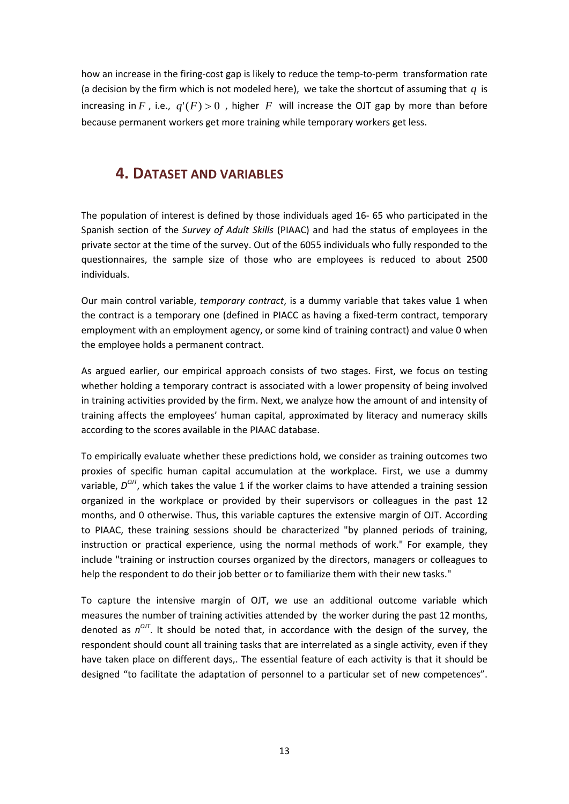how an increase in the firing-cost gap is likely to reduce the temp-to-perm transformation rate (a decision by the firm which is not modeled here), we take the shortcut of assuming that *q* is increasing in *F*, i.e.,  $q'(F) > 0$ , higher *F* will increase the OJT gap by more than before because permanent workers get more training while temporary workers get less.

### **4. DATASET AND VARIABLES**

The population of interest is defined by those individuals aged 16- 65 who participated in the Spanish section of the *Survey of Adult Skills* (PIAAC) and had the status of employees in the private sector at the time of the survey. Out of the 6055 individuals who fully responded to the questionnaires, the sample size of those who are employees is reduced to about 2500 individuals.

Our main control variable, *temporary contract*, is a dummy variable that takes value 1 when the contract is a temporary one (defined in PIACC as having a fixed-term contract, temporary employment with an employment agency, or some kind of training contract) and value 0 when the employee holds a permanent contract.

As argued earlier, our empirical approach consists of two stages. First, we focus on testing whether holding a temporary contract is associated with a lower propensity of being involved in training activities provided by the firm. Next, we analyze how the amount of and intensity of training affects the employees' human capital, approximated by literacy and numeracy skills according to the scores available in the PIAAC database.

To empirically evaluate whether these predictions hold, we consider as training outcomes two proxies of specific human capital accumulation at the workplace. First, we use a dummy variable,  $D^{O/I}$ , which takes the value 1 if the worker claims to have attended a training session organized in the workplace or provided by their supervisors or colleagues in the past 12 months, and 0 otherwise. Thus, this variable captures the extensive margin of OJT. According to PIAAC, these training sessions should be characterized "by planned periods of training, instruction or practical experience, using the normal methods of work." For example, they include "training or instruction courses organized by the directors, managers or colleagues to help the respondent to do their job better or to familiarize them with their new tasks."

To capture the intensive margin of OJT, we use an additional outcome variable which measures the number of training activities attended by the worker during the past 12 months, denoted as  $n^{OT}$ . It should be noted that, in accordance with the design of the survey, the respondent should count all training tasks that are interrelated as a single activity, even if they have taken place on different days,. The essential feature of each activity is that it should be designed "to facilitate the adaptation of personnel to a particular set of new competences".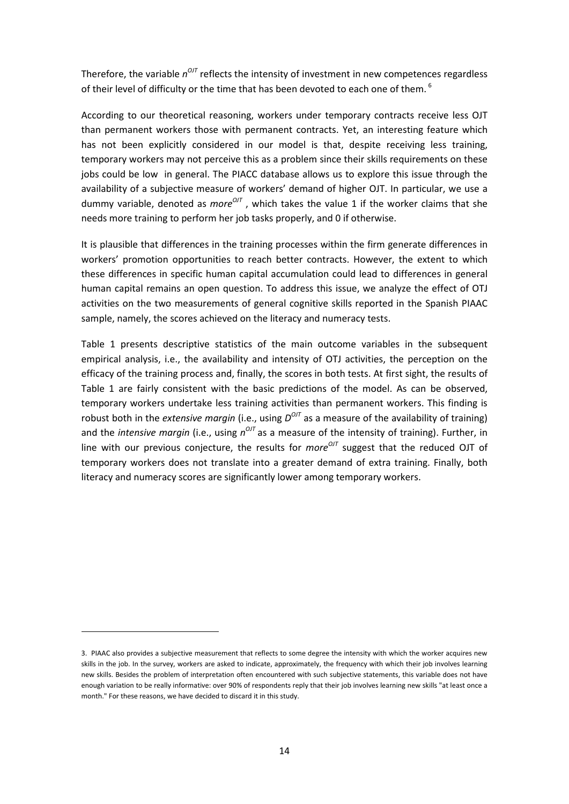Therefore, the variable  $n^{O/I}$  reflects the intensity of investment in new competences regardless of their level of difficulty or the time that has been devoted to each one of them.  $6$ 

According to our theoretical reasoning, workers under temporary contracts receive less OJT than permanent workers those with permanent contracts. Yet, an interesting feature which has not been explicitly considered in our model is that, despite receiving less training, temporary workers may not perceive this as a problem since their skills requirements on these jobs could be low in general. The PIACC database allows us to explore this issue through the availability of a subjective measure of workers' demand of higher OJT. In particular, we use a dummy variable, denoted as *more<sup>ort</sup>*, which takes the value 1 if the worker claims that she needs more training to perform her job tasks properly, and 0 if otherwise.

It is plausible that differences in the training processes within the firm generate differences in workers' promotion opportunities to reach better contracts. However, the extent to which these differences in specific human capital accumulation could lead to differences in general human capital remains an open question. To address this issue, we analyze the effect of OTJ activities on the two measurements of general cognitive skills reported in the Spanish PIAAC sample, namely, the scores achieved on the literacy and numeracy tests.

Table 1 presents descriptive statistics of the main outcome variables in the subsequent empirical analysis, i.e., the availability and intensity of OTJ activities, the perception on the efficacy of the training process and, finally, the scores in both tests. At first sight, the results of Table 1 are fairly consistent with the basic predictions of the model. As can be observed, temporary workers undertake less training activities than permanent workers. This finding is robust both in the *extensive margin* (i.e., using  $D^{OUT}$  as a measure of the availability of training) and the *intensive margin* (i.e., using  $n^{O/I}$  as a measure of the intensity of training). Further, in line with our previous conjecture, the results for *more<sup>OJT</sup>* suggest that the reduced OJT of temporary workers does not translate into a greater demand of extra training. Finally, both literacy and numeracy scores are significantly lower among temporary workers.

 $\overline{\phantom{a}}$ 

<span id="page-14-0"></span><sup>3.</sup> PIAAC also provides a subjective measurement that reflects to some degree the intensity with which the worker acquires new skills in the job. In the survey, workers are asked to indicate, approximately, the frequency with which their job involves learning new skills. Besides the problem of interpretation often encountered with such subjective statements, this variable does not have enough variation to be really informative: over 90% of respondents reply that their job involves learning new skills "at least once a month." For these reasons, we have decided to discard it in this study.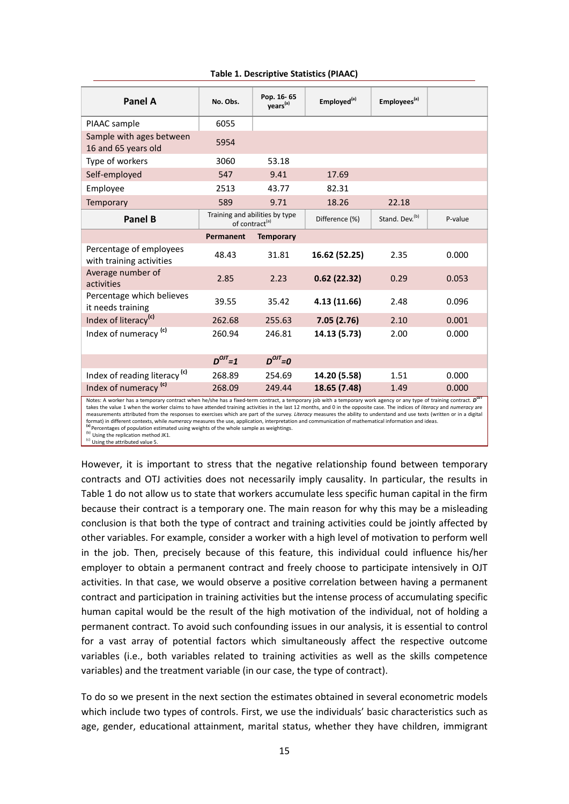| Panel A                                                                                                                                                                                                   | No. Obs.      | Pop. 16-65<br>years <sup>(a)</sup>                           | Employed <sup>(a)</sup> | Employees <sup>(a)</sup>   |         |
|-----------------------------------------------------------------------------------------------------------------------------------------------------------------------------------------------------------|---------------|--------------------------------------------------------------|-------------------------|----------------------------|---------|
| PIAAC sample                                                                                                                                                                                              | 6055          |                                                              |                         |                            |         |
| Sample with ages between<br>16 and 65 years old                                                                                                                                                           | 5954          |                                                              |                         |                            |         |
| Type of workers                                                                                                                                                                                           | 3060          | 53.18                                                        |                         |                            |         |
| Self-employed                                                                                                                                                                                             | 547           | 9.41                                                         | 17.69                   |                            |         |
| Employee                                                                                                                                                                                                  | 2513          | 43.77                                                        | 82.31                   |                            |         |
| <b>Temporary</b>                                                                                                                                                                                          | 589           | 9.71                                                         | 18.26                   | 22.18                      |         |
| Panel B                                                                                                                                                                                                   |               | Training and abilities by type<br>of contract <sup>(a)</sup> | Difference (%)          | Stand. Dev. <sup>(b)</sup> | P-value |
|                                                                                                                                                                                                           | Permanent     | <b>Temporary</b>                                             |                         |                            |         |
| Percentage of employees<br>with training activities                                                                                                                                                       | 48.43         | 31.81                                                        | 16.62 (52.25)           | 2.35                       | 0.000   |
| Average number of<br>activities                                                                                                                                                                           | 2.85          | 2.23                                                         | 0.62(22.32)             | 0.29                       | 0.053   |
| Percentage which believes<br>it needs training                                                                                                                                                            | 39.55         | 35.42                                                        | 4.13 (11.66)            | 2.48                       | 0.096   |
| Index of literacy <sup>(c)</sup>                                                                                                                                                                          | 262.68        | 255.63                                                       | 7.05(2.76)              | 2.10                       | 0.001   |
| Index of numeracy <sup>(c)</sup>                                                                                                                                                                          | 260.94        | 246.81                                                       | 14.13 (5.73)            | 2.00                       | 0.000   |
|                                                                                                                                                                                                           | $D^{OIT} = 1$ | $D^{OIT} = 0$                                                |                         |                            |         |
| Index of reading literacy <sup>(c)</sup>                                                                                                                                                                  | 268.89        | 254.69                                                       | 14.20 (5.58)            | 1.51                       | 0.000   |
| Index of numeracy <sup>(c)</sup><br>Note: A werker has a temperary centract when he/she has a fixed term centract a temperary job with a temperary werk agency or any type of training centract. $D^{0J}$ | 268.09        | 249.44                                                       | 18.65 (7.48)            | 1.49                       | 0.000   |

#### **Table 1. Descriptive Statistics (PIAAC)**

Notes: A worker has a temporary contract when he/she has a fixed-term contract, a temporary job with a temporary work agency or any type of training contract.  $D^{OT}$ <br>takes the value 1 when the worker claims to have attende measurements attributed from the responses to exercises which are part of the survey. *Literacy* measures the ability to understand and use texts (written or in a digital format) in different contexts, while *numeracy* measures the use, application, interpretation and communication of mathematical information and ideas.<br>(a) percentages of population estimated using weights of the whole sam

However, it is important to stress that the negative relationship found between temporary contracts and OTJ activities does not necessarily imply causality. In particular, the results in Table 1 do not allow us to state that workers accumulate less specific human capital in the firm because their contract is a temporary one. The main reason for why this may be a misleading conclusion is that both the type of contract and training activities could be jointly affected by other variables. For example, consider a worker with a high level of motivation to perform well in the job. Then, precisely because of this feature, this individual could influence his/her employer to obtain a permanent contract and freely choose to participate intensively in OJT activities. In that case, we would observe a positive correlation between having a permanent contract and participation in training activities but the intense process of accumulating specific human capital would be the result of the high motivation of the individual, not of holding a permanent contract. To avoid such confounding issues in our analysis, it is essential to control for a vast array of potential factors which simultaneously affect the respective outcome variables (i.e., both variables related to training activities as well as the skills competence variables) and the treatment variable (in our case, the type of contract).

To do so we present in the next section the estimates obtained in several econometric models which include two types of controls. First, we use the individuals' basic characteristics such as age, gender, educational attainment, marital status, whether they have children, immigrant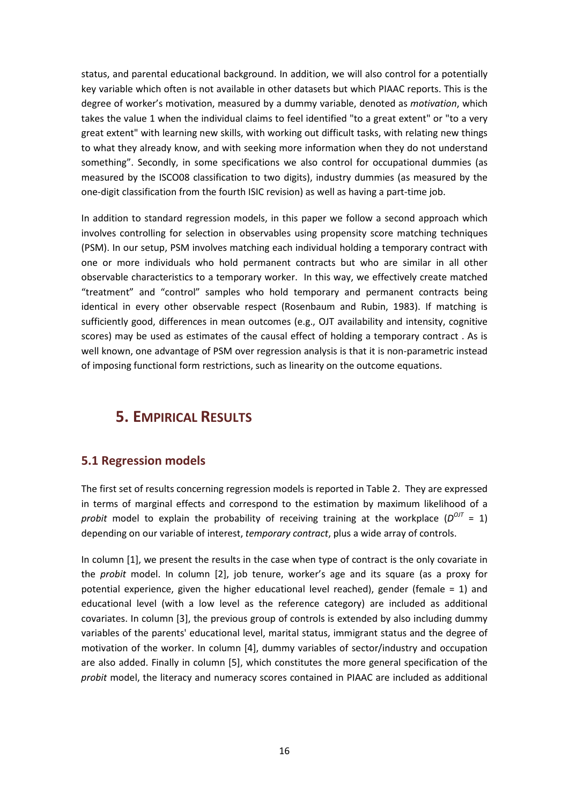status, and parental educational background. In addition, we will also control for a potentially key variable which often is not available in other datasets but which PIAAC reports. This is the degree of worker's motivation, measured by a dummy variable, denoted as *motivation*, which takes the value 1 when the individual claims to feel identified "to a great extent" or "to a very great extent" with learning new skills, with working out difficult tasks, with relating new things to what they already know, and with seeking more information when they do not understand something". Secondly, in some specifications we also control for occupational dummies (as measured by the ISCO08 classification to two digits), industry dummies (as measured by the one-digit classification from the fourth ISIC revision) as well as having a part-time job.

In addition to standard regression models, in this paper we follow a second approach which involves controlling for selection in observables using propensity score matching techniques (PSM). In our setup, PSM involves matching each individual holding a temporary contract with one or more individuals who hold permanent contracts but who are similar in all other observable characteristics to a temporary worker. In this way, we effectively create matched "treatment" and "control" samples who hold temporary and permanent contracts being identical in every other observable respect (Rosenbaum and Rubin, 1983). If matching is sufficiently good, differences in mean outcomes (e.g., OJT availability and intensity, cognitive scores) may be used as estimates of the causal effect of holding a temporary contract . As is well known, one advantage of PSM over regression analysis is that it is non-parametric instead of imposing functional form restrictions, such as linearity on the outcome equations.

# **5. EMPIRICAL RESULTS**

### **5.1 Regression models**

The first set of results concerning regression models is reported in Table 2. They are expressed in terms of marginal effects and correspond to the estimation by maximum likelihood of a *probit* model to explain the probability of receiving training at the workplace  $(D^{O/T} = 1)$ depending on our variable of interest, *temporary contract*, plus a wide array of controls.

In column [1], we present the results in the case when type of contract is the only covariate in the *probit* model. In column [2], job tenure, worker's age and its square (as a proxy for potential experience, given the higher educational level reached), gender (female = 1) and educational level (with a low level as the reference category) are included as additional covariates. In column [3], the previous group of controls is extended by also including dummy variables of the parents' educational level, marital status, immigrant status and the degree of motivation of the worker. In column [4], dummy variables of sector/industry and occupation are also added. Finally in column [5], which constitutes the more general specification of the *probit* model, the literacy and numeracy scores contained in PIAAC are included as additional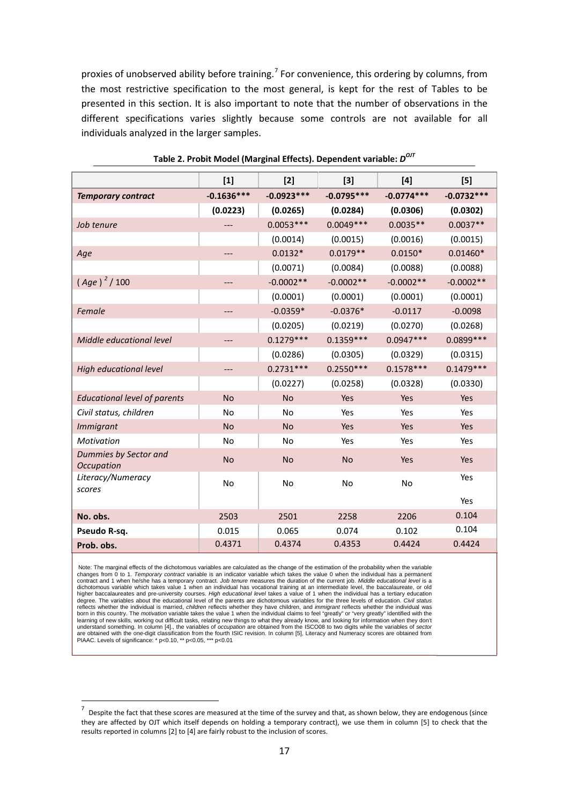proxies of unobserved ability before training.<sup>[7](#page-14-0)</sup> For convenience, this ordering by columns, from the most restrictive specification to the most general, is kept for the rest of Tables to be presented in this section. It is also important to note that the number of observations in the different specifications varies slightly because some controls are not available for all individuals analyzed in the larger samples.

|                                     | $[1]$        | $[2]$        | $[3]$        | $[4]$        | [5]          |
|-------------------------------------|--------------|--------------|--------------|--------------|--------------|
| <b>Temporary contract</b>           | $-0.1636***$ | $-0.0923***$ | $-0.0795***$ | $-0.0774***$ | $-0.0732***$ |
|                                     | (0.0223)     | (0.0265)     | (0.0284)     | (0.0306)     | (0.0302)     |
| Job tenure                          |              | $0.0053***$  | $0.0049***$  | $0.0035**$   | $0.0037**$   |
|                                     |              | (0.0014)     | (0.0015)     | (0.0016)     | (0.0015)     |
| Age                                 | ---          | $0.0132*$    | $0.0179**$   | $0.0150*$    | $0.01460*$   |
|                                     |              | (0.0071)     | (0.0084)     | (0.0088)     | (0.0088)     |
| $(Age)^{2}/100$                     | $---$        | $-0.0002**$  | $-0.0002**$  | $-0.0002**$  | $-0.0002**$  |
|                                     |              | (0.0001)     | (0.0001)     | (0.0001)     | (0.0001)     |
| Female                              | ---          | $-0.0359*$   | $-0.0376*$   | $-0.0117$    | $-0.0098$    |
|                                     |              | (0.0205)     | (0.0219)     | (0.0270)     | (0.0268)     |
| Middle educational level            |              | $0.1279***$  | $0.1359***$  | $0.0947***$  | 0.0899 ***   |
|                                     |              | (0.0286)     | (0.0305)     | (0.0329)     | (0.0315)     |
| High educational level              | ---          | $0.2731***$  | $0.2550***$  | $0.1578***$  | $0.1479***$  |
|                                     |              | (0.0227)     | (0.0258)     | (0.0328)     | (0.0330)     |
| <b>Educational level of parents</b> | <b>No</b>    | <b>No</b>    | Yes          | Yes          | Yes          |
| Civil status, children              | <b>No</b>    | <b>No</b>    | Yes          | Yes          | Yes          |
| <b>Immigrant</b>                    | <b>No</b>    | <b>No</b>    | Yes          | Yes          | Yes          |
| <b>Motivation</b>                   | No           | No           | Yes          | Yes          | Yes          |
| Dummies by Sector and<br>Occupation | <b>No</b>    | <b>No</b>    | <b>No</b>    | Yes          | Yes          |
| Literacy/Numeracy<br>scores         | No           | <b>No</b>    | No           | <b>No</b>    | Yes          |
|                                     |              |              |              |              | Yes          |
| No. obs.                            | 2503         | 2501         | 2258         | 2206         | 0.104        |
| Pseudo R-sq.                        | 0.015        | 0.065        | 0.074        | 0.102        | 0.104        |
| Prob. obs.                          | 0.4371       | 0.4374       | 0.4353       | 0.4424       | 0.4424       |

#### **Table 2. Probit Model (Marginal Effects). Dependent variable:** *DOJT*

Note: The marginal effects of the dichotomous variables are calculated as the change of the estimation of the probability when the variable changes from 0 to 1. *Temporary contract* variable is an indicator variable which takes the value 0 when the individual has a permanent contract and 1 when he/she has a temporary contract. *Job tenure* measures the duration of the current job. *Middle educational level* is a<br>dichotomous variable which takes value 1 when an individual has vocational trainin higher baccalaureates and pre-university courses. *High educational level* takes a value of 1 when the individual has a tertiary education degree. The variables about the educational level of the parents are dichotomous variables for the three levels of education. *Civil status* reflects whether the individual is married, *children* reflects whether they have children, and *immigrant* reflects whether the individual was<br>born in this country. The *motivation* variable takes the value 1 when the ind learning of new skills, working out difficult tasks, relating new things to what they already know, and looking for information when they don't understand something. In column [4]., the variables of *occupation* are obtained from the ISCO08 to two digits while the variables of *sector* are obtained with the one-digit classification from the fourth ISIC revision. In column [5], Literacy and Numeracy scores are obtained from<br>PIAAC. Levels of significance: \* p<0.10, \*\* p<0.05, \*\*\* p<0.01

<span id="page-17-0"></span>Despite the fact that these scores are measured at the time of the survey and that, as shown below, they are endogenous (since they are affected by OJT which itself depends on holding a temporary contract), we use them in column [5] to check that the results reported in columns [2] to [4] are fairly robust to the inclusion of scores.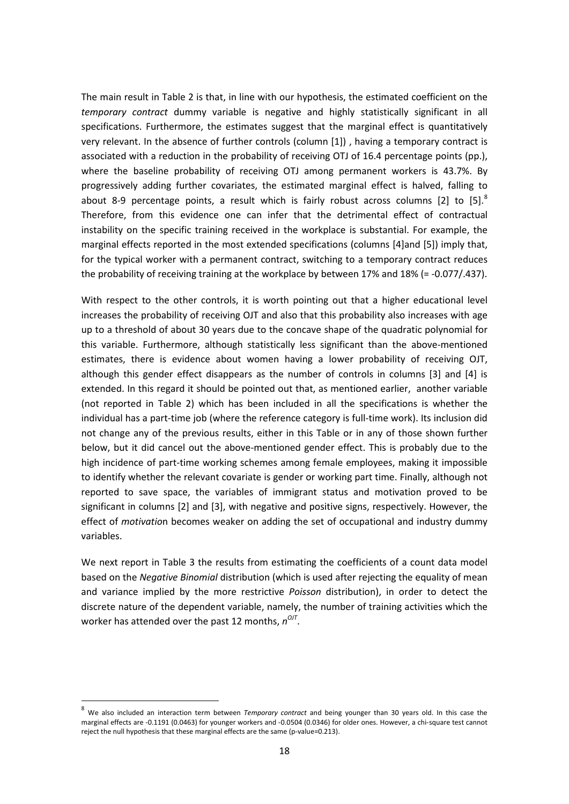The main result in Table 2 is that, in line with our hypothesis, the estimated coefficient on the *temporary contract* dummy variable is negative and highly statistically significant in all specifications. Furthermore, the estimates suggest that the marginal effect is quantitatively very relevant. In the absence of further controls (column [1]) , having a temporary contract is associated with a reduction in the probability of receiving OTJ of 16.4 percentage points (pp.), where the baseline probability of receiving OTJ among permanent workers is 43.7%. By progressively adding further covariates, the estimated marginal effect is halved, falling to about [8](#page-17-0)-9 percentage points, a result which is fairly robust across columns [2] to [5].<sup>8</sup> Therefore, from this evidence one can infer that the detrimental effect of contractual instability on the specific training received in the workplace is substantial. For example, the marginal effects reported in the most extended specifications (columns [4]and [5]) imply that, for the typical worker with a permanent contract, switching to a temporary contract reduces the probability of receiving training at the workplace by between 17% and 18% (= -0.077/.437).

With respect to the other controls, it is worth pointing out that a higher educational level increases the probability of receiving OJT and also that this probability also increases with age up to a threshold of about 30 years due to the concave shape of the quadratic polynomial for this variable. Furthermore, although statistically less significant than the above-mentioned estimates, there is evidence about women having a lower probability of receiving OJT, although this gender effect disappears as the number of controls in columns [3] and [4] is extended. In this regard it should be pointed out that, as mentioned earlier, another variable (not reported in Table 2) which has been included in all the specifications is whether the individual has a part-time job (where the reference category is full-time work). Its inclusion did not change any of the previous results, either in this Table or in any of those shown further below, but it did cancel out the above-mentioned gender effect. This is probably due to the high incidence of part-time working schemes among female employees, making it impossible to identify whether the relevant covariate is gender or working part time. Finally, although not reported to save space, the variables of immigrant status and motivation proved to be significant in columns [2] and [3], with negative and positive signs, respectively. However, the effect of *motivatio*n becomes weaker on adding the set of occupational and industry dummy variables.

We next report in Table 3 the results from estimating the coefficients of a count data model based on the *Negative Binomial* distribution (which is used after rejecting the equality of mean and variance implied by the more restrictive *Poisson* distribution), in order to detect the discrete nature of the dependent variable, namely, the number of training activities which the worker has attended over the past 12 months,  $n^{O/T}$ .

<span id="page-18-0"></span> <sup>8</sup> We also included an interaction term between *Temporary contract* and being younger than 30 years old. In this case the marginal effects are -0.1191 (0.0463) for younger workers and -0.0504 (0.0346) for older ones. However, a chi-square test cannot reject the null hypothesis that these marginal effects are the same (p-value=0.213).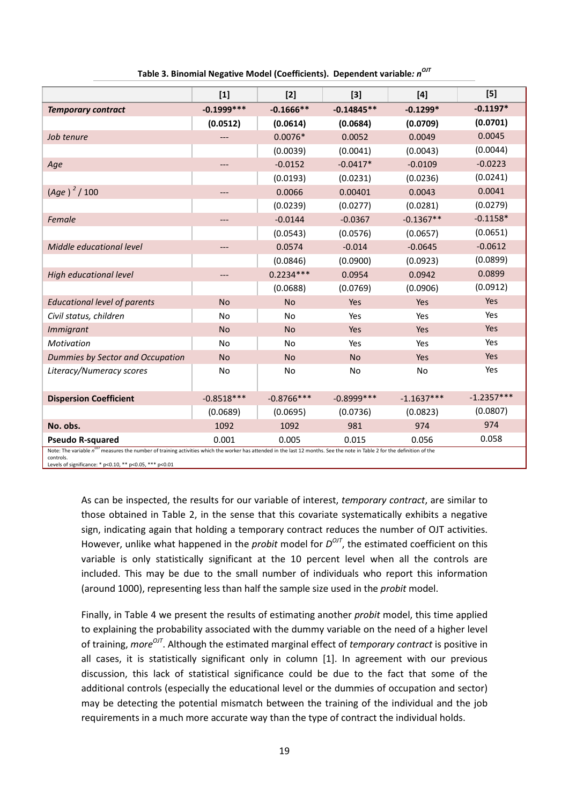|                                                                                                                                                                                                                  | $[1]$        | $[2]$        | $[3]$         | $[4]$        | [5]          |
|------------------------------------------------------------------------------------------------------------------------------------------------------------------------------------------------------------------|--------------|--------------|---------------|--------------|--------------|
| <b>Temporary contract</b>                                                                                                                                                                                        | $-0.1999***$ | $-0.1666**$  | $-0.14845**$  | $-0.1299*$   | $-0.1197*$   |
|                                                                                                                                                                                                                  | (0.0512)     | (0.0614)     | (0.0684)      | (0.0709)     | (0.0701)     |
| Job tenure                                                                                                                                                                                                       |              | $0.0076*$    | 0.0052        | 0.0049       | 0.0045       |
|                                                                                                                                                                                                                  |              | (0.0039)     | (0.0041)      | (0.0043)     | (0.0044)     |
| Age                                                                                                                                                                                                              | ---          | $-0.0152$    | $-0.0417*$    | $-0.0109$    | $-0.0223$    |
|                                                                                                                                                                                                                  |              | (0.0193)     | (0.0231)      | (0.0236)     | (0.0241)     |
| $(Age)^2 / 100$                                                                                                                                                                                                  | ---          | 0.0066       | 0.00401       | 0.0043       | 0.0041       |
|                                                                                                                                                                                                                  |              | (0.0239)     | (0.0277)      | (0.0281)     | (0.0279)     |
| Female                                                                                                                                                                                                           | ---          | $-0.0144$    | $-0.0367$     | $-0.1367**$  | $-0.1158*$   |
|                                                                                                                                                                                                                  |              | (0.0543)     | (0.0576)      | (0.0657)     | (0.0651)     |
| Middle educational level                                                                                                                                                                                         | ---          | 0.0574       | $-0.014$      | $-0.0645$    | $-0.0612$    |
|                                                                                                                                                                                                                  |              | (0.0846)     | (0.0900)      | (0.0923)     | (0.0899)     |
| High educational level                                                                                                                                                                                           | ---          | $0.2234***$  | 0.0954        | 0.0942       | 0.0899       |
|                                                                                                                                                                                                                  |              | (0.0688)     | (0.0769)      | (0.0906)     | (0.0912)     |
| <b>Educational level of parents</b>                                                                                                                                                                              | <b>No</b>    | <b>No</b>    | Yes           | Yes          | Yes          |
| Civil status, children                                                                                                                                                                                           | No           | No           | Yes           | Yes          | Yes          |
| <b>Immigrant</b>                                                                                                                                                                                                 | <b>No</b>    | <b>No</b>    | Yes           | Yes          | Yes          |
| <b>Motivation</b>                                                                                                                                                                                                | No           | <b>No</b>    | Yes           | Yes          | Yes          |
| Dummies by Sector and Occupation                                                                                                                                                                                 | <b>No</b>    | <b>No</b>    | <b>No</b>     | Yes          | Yes          |
| Literacy/Numeracy scores                                                                                                                                                                                         | No           | <b>No</b>    | <b>No</b>     | <b>No</b>    | Yes          |
|                                                                                                                                                                                                                  |              |              |               |              |              |
| <b>Dispersion Coefficient</b>                                                                                                                                                                                    | $-0.8518***$ | $-0.8766***$ | $-0.8999$ *** | $-1.1637***$ | $-1.2357***$ |
|                                                                                                                                                                                                                  | (0.0689)     | (0.0695)     | (0.0736)      | (0.0823)     | (0.0807)     |
| No. obs.                                                                                                                                                                                                         | 1092         | 1092         | 981           | 974          | 974          |
| <b>Pseudo R-squared</b><br>Note: The variable n <sup>orr</sup> measures the number of training activities which the worker has attended in the last 12 months. See the note in Table 2 for the definition of the | 0.001        | 0.005        | 0.015         | 0.056        | 0.058        |

**Table 3. Binomial Negative Model (Coefficients). Dependent variable***: nOJT*

controls. Levels of significance: \* p<0.10, \*\* p<0.05, \*\*\* p<0.01

> As can be inspected, the results for our variable of interest, *temporary contract*, are similar to those obtained in Table 2, in the sense that this covariate systematically exhibits a negative sign, indicating again that holding a temporary contract reduces the number of OJT activities. However, unlike what happened in the *probit* model for  $D^{OJI}$ , the estimated coefficient on this variable is only statistically significant at the 10 percent level when all the controls are included. This may be due to the small number of individuals who report this information (around 1000), representing less than half the sample size used in the *probit* model.

> Finally, in Table 4 we present the results of estimating another *probit* model, this time applied to explaining the probability associated with the dummy variable on the need of a higher level of training, *moreOJT*. Although the estimated marginal effect of *temporary contract* is positive in all cases, it is statistically significant only in column [1]. In agreement with our previous discussion, this lack of statistical significance could be due to the fact that some of the additional controls (especially the educational level or the dummies of occupation and sector) may be detecting the potential mismatch between the training of the individual and the job requirements in a much more accurate way than the type of contract the individual holds.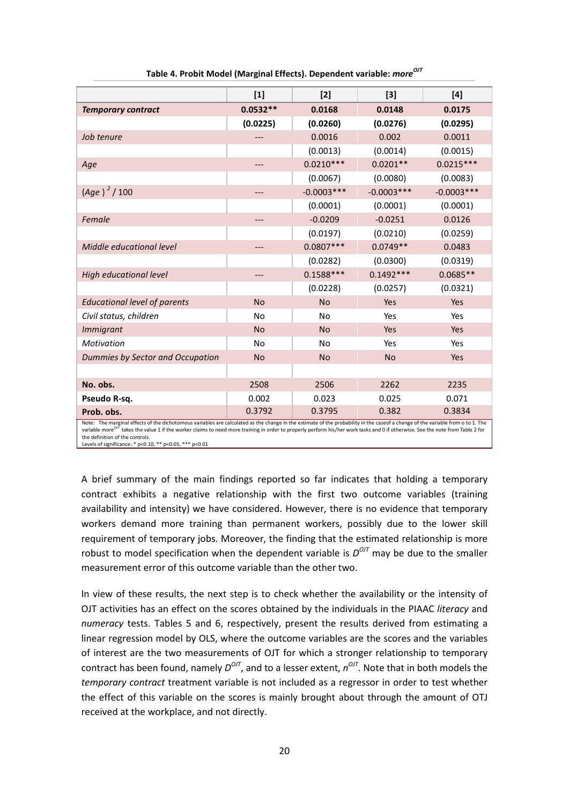|                                     | $[1]$      | $[2]$         | $[3]$        | $[4]$        |
|-------------------------------------|------------|---------------|--------------|--------------|
| <b>Temporary contract</b>           | $0.0532**$ | 0.0168        | 0.0148       | 0.0175       |
|                                     | (0.0225)   | (0.0260)      | (0.0276)     | (0.0295)     |
| Job tenure                          |            | 0.0016        | 0.002        | 0.0011       |
|                                     |            | (0.0013)      | (0.0014)     | (0.0015)     |
| Age                                 |            | $0.0210***$   | $0.0201**$   | $0.0215***$  |
|                                     |            | (0.0067)      | (0.0080)     | (0.0083)     |
| $(Age)^2 / 100$                     |            | $-0.0003$ *** | $-0.0003***$ | $-0.0003***$ |
|                                     |            | (0.0001)      | (0.0001)     | (0.0001)     |
| Female                              | ---        | $-0.0209$     | $-0.0251$    | 0.0126       |
|                                     |            | (0.0197)      | (0.0210)     | (0.0259)     |
| Middle educational level            | ---        | $0.0807***$   | $0.0749**$   | 0.0483       |
|                                     |            | (0.0282)      | (0.0300)     | (0.0319)     |
| High educational level              | ---        | $0.1588***$   | $0.1492***$  | $0.0685**$   |
|                                     |            | (0.0228)      | (0.0257)     | (0.0321)     |
| <b>Educational level of parents</b> | <b>No</b>  | <b>No</b>     | Yes          | Yes          |
| Civil status, children              | No         | <b>No</b>     | Yes          | Yes          |
| <b>Immigrant</b>                    | <b>No</b>  | <b>No</b>     | Yes          | Yes          |
| Motivation                          | <b>No</b>  | <b>No</b>     | Yes          | Yes          |
| Dummies by Sector and Occupation    | <b>No</b>  | <b>No</b>     | <b>No</b>    | Yes          |
|                                     |            |               |              |              |
| No. obs.                            | 2508       | 2506          | 2262         | 2235         |
| Pseudo R-sq.                        | 0.002      | 0.023         | 0.025        | 0.071        |
| Prob. obs.                          | 0.3792     | 0.3795        | 0.382        | 0.3834       |

**Table 4. Probit Model (Marginal Effects). Dependent variable:** *moreOJT*

Note: The marginal effects of the dichotomous variables are calculated as the change in the estimate of the probability in the caseof a change of the variable from o to 1. The<br>variable *more<sup>017</sup>* takes the value 1 if the the definition of the controls. Levels of significance: \* p<0.10, \*\* p<0.05, \*\*\* p<0.01

A brief summary of the main findings reported so far indicates that holding a temporary contract exhibits a negative relationship with the first two outcome variables (training availability and intensity) we have considered. However, there is no evidence that temporary workers demand more training than permanent workers, possibly due to the lower skill requirement of temporary jobs. Moreover, the finding that the estimated relationship is more robust to model specification when the dependent variable is  $D^{O/T}$  may be due to the smaller measurement error of this outcome variable than the other two.

In view of these results, the next step is to check whether the availability or the intensity of OJT activities has an effect on the scores obtained by the individuals in the PIAAC *literacy* and *numeracy* tests. Tables 5 and 6, respectively, present the results derived from estimating a linear regression model by OLS, where the outcome variables are the scores and the variables of interest are the two measurements of OJT for which a stronger relationship to temporary contract has been found, namely  $D^{O/J}$ , and to a lesser extent,  $n^{O/J}$ . Note that in both models the *temporary contract* treatment variable is not included as a regressor in order to test whether the effect of this variable on the scores is mainly brought about through the amount of OTJ received at the workplace, and not directly.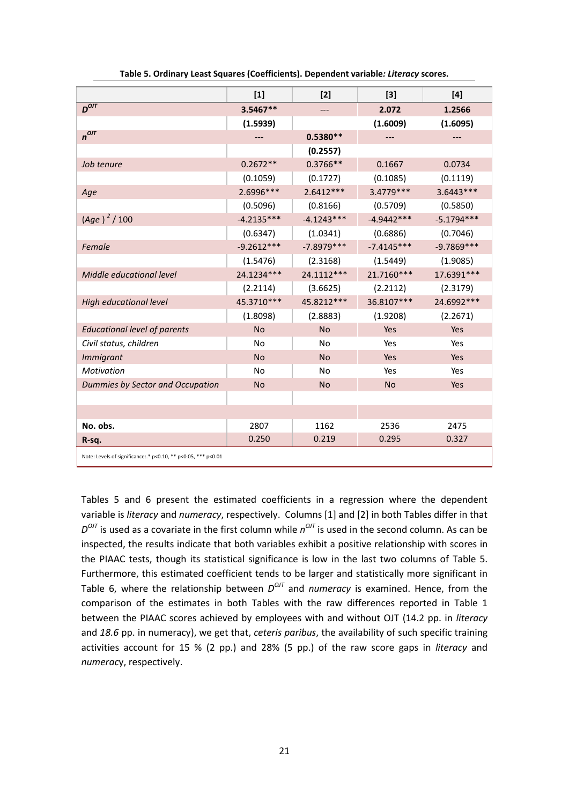|                                                               | $[1]$        | $[2]$        | $[3]$        | $[4]$        |
|---------------------------------------------------------------|--------------|--------------|--------------|--------------|
| $D^{OIT}$                                                     | 3.5467**     | ---          | 2.072        | 1.2566       |
|                                                               | (1.5939)     |              | (1.6009)     | (1.6095)     |
| $n^{OJT}$                                                     | ---          | $0.5380**$   | ---          |              |
|                                                               |              | (0.2557)     |              |              |
| Job tenure                                                    | $0.2672**$   | $0.3766**$   | 0.1667       | 0.0734       |
|                                                               | (0.1059)     | (0.1727)     | (0.1085)     | (0.1119)     |
| Age                                                           | 2.6996***    | $2.6412***$  | 3.4779 ***   | 3.6443***    |
|                                                               | (0.5096)     | (0.8166)     | (0.5709)     | (0.5850)     |
| $(Age)^2 / 100$                                               | $-4.2135***$ | $-4.1243***$ | $-4.9442***$ | $-5.1794***$ |
|                                                               | (0.6347)     | (1.0341)     | (0.6886)     | (0.7046)     |
| Female                                                        | $-9.2612***$ | $-7.8979***$ | $-7.4145***$ | $-9.7869***$ |
|                                                               | (1.5476)     | (2.3168)     | (1.5449)     | (1.9085)     |
| Middle educational level                                      | 24.1234***   | 24.1112***   | 21.7160***   | 17.6391***   |
|                                                               | (2.2114)     | (3.6625)     | (2.2112)     | (2.3179)     |
| <b>High educational level</b>                                 | 45.3710***   | 45.8212***   | 36.8107***   | 24.6992 ***  |
|                                                               | (1.8098)     | (2.8883)     | (1.9208)     | (2.2671)     |
| <b>Educational level of parents</b>                           | <b>No</b>    | <b>No</b>    | Yes          | Yes          |
| Civil status, children                                        | <b>No</b>    | <b>No</b>    | Yes          | Yes          |
| <b>Immigrant</b>                                              | <b>No</b>    | <b>No</b>    | Yes          | Yes          |
| Motivation                                                    | <b>No</b>    | <b>No</b>    | Yes          | Yes          |
| Dummies by Sector and Occupation                              | <b>No</b>    | <b>No</b>    | <b>No</b>    | Yes          |
|                                                               |              |              |              |              |
|                                                               |              |              |              |              |
| No. obs.                                                      | 2807         | 1162         | 2536         | 2475         |
| R-sq.                                                         | 0.250        | 0.219        | 0.295        | 0.327        |
| Note: Levels of significance:.* p<0.10, ** p<0.05, *** p<0.01 |              |              |              |              |

Tables 5 and 6 present the estimated coefficients in a regression where the dependent variable is *literacy* and *numeracy*, respectively. Columns [1] and [2] in both Tables differ in that  $D^{OJI}$  is used as a covariate in the first column while  $n^{OJI}$  is used in the second column. As can be inspected, the results indicate that both variables exhibit a positive relationship with scores in the PIAAC tests, though its statistical significance is low in the last two columns of Table 5. Furthermore, this estimated coefficient tends to be larger and statistically more significant in Table 6, where the relationship between  $D^{OUT}$  and *numeracy* is examined. Hence, from the comparison of the estimates in both Tables with the raw differences reported in Table 1 between the PIAAC scores achieved by employees with and without OJT (14.2 pp. in *literacy* and *18.6* pp. in numeracy), we get that, *ceteris paribus*, the availability of such specific training activities account for 15 % (2 pp.) and 28% (5 pp.) of the raw score gaps in *literacy* and *numerac*y, respectively.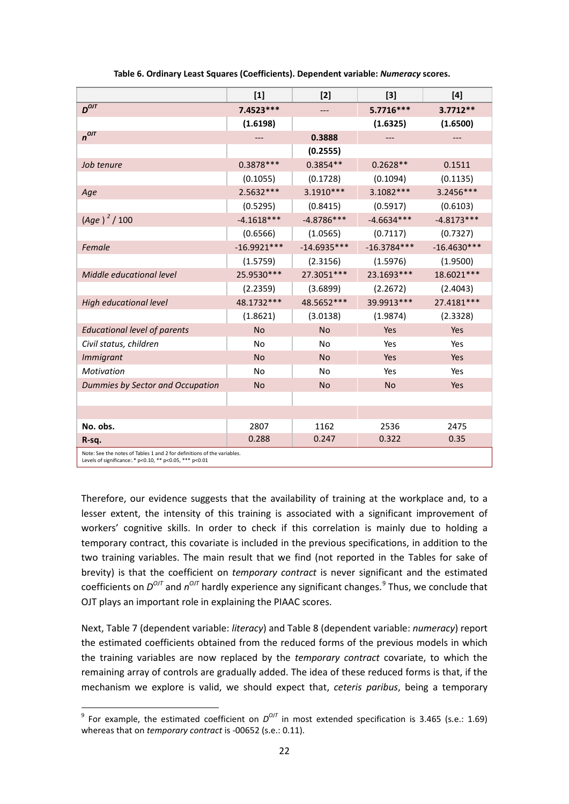|                                                                                                                                    | $[1]$         | $[2]$         | $[3]$         | $[4]$         |  |
|------------------------------------------------------------------------------------------------------------------------------------|---------------|---------------|---------------|---------------|--|
| $D^{OIT}$                                                                                                                          | 7.4523 ***    | ---           | 5.7716 ***    | $3.7712**$    |  |
|                                                                                                                                    | (1.6198)      |               | (1.6325)      | (1.6500)      |  |
| $n^{OJT}$                                                                                                                          | $---$         | 0.3888        | $---$         | ---           |  |
|                                                                                                                                    |               | (0.2555)      |               |               |  |
| Job tenure                                                                                                                         | $0.3878***$   | $0.3854**$    | $0.2628**$    | 0.1511        |  |
|                                                                                                                                    | (0.1055)      | (0.1728)      | (0.1094)      | (0.1135)      |  |
| Age                                                                                                                                | 2.5632 ***    | 3.1910 ***    | 3.1082 ***    | 3.2456***     |  |
|                                                                                                                                    | (0.5295)      | (0.8415)      | (0.5917)      | (0.6103)      |  |
| $(Age)^2 / 100$                                                                                                                    | $-4.1618***$  | $-4.8786***$  | $-4.6634***$  | $-4.8173***$  |  |
|                                                                                                                                    | (0.6566)      | (1.0565)      | (0.7117)      | (0.7327)      |  |
| Female                                                                                                                             | $-16.9921***$ | $-14.6935***$ | $-16.3784***$ | $-16.4630***$ |  |
|                                                                                                                                    | (1.5759)      | (2.3156)      | (1.5976)      | (1.9500)      |  |
| Middle educational level                                                                                                           | 25.9530 ***   | 27.3051 ***   | 23.1693***    | 18.6021 ***   |  |
|                                                                                                                                    | (2.2359)      | (3.6899)      | (2.2672)      | (2.4043)      |  |
| <b>High educational level</b>                                                                                                      | 48.1732 ***   | 48.5652 ***   | 39.9913***    | 27.4181***    |  |
|                                                                                                                                    | (1.8621)      | (3.0138)      | (1.9874)      | (2.3328)      |  |
| <b>Educational level of parents</b>                                                                                                | <b>No</b>     | <b>No</b>     | Yes           | Yes           |  |
| Civil status, children                                                                                                             | <b>No</b>     | <b>No</b>     | Yes           | Yes           |  |
| <b>Immigrant</b>                                                                                                                   | <b>No</b>     | <b>No</b>     | Yes           | Yes           |  |
| Motivation                                                                                                                         | <b>No</b>     | <b>No</b>     | Yes           | Yes           |  |
| Dummies by Sector and Occupation                                                                                                   | <b>No</b>     | <b>No</b>     | <b>No</b>     | Yes           |  |
|                                                                                                                                    |               |               |               |               |  |
|                                                                                                                                    |               |               |               |               |  |
| No. obs.                                                                                                                           | 2807          | 1162          | 2536          | 2475          |  |
| R-sq.                                                                                                                              | 0.288         | 0.247         | 0.322         | 0.35          |  |
| Note: See the notes of Tables 1 and 2 for definitions of the variables.<br>Levels of significance: * p<0.10, ** p<0.05, *** p<0.01 |               |               |               |               |  |

 **Table 6. Ordinary Least Squares (Coefficients). Dependent variable:** *Numeracy* **scores.**

Therefore, our evidence suggests that the availability of training at the workplace and, to a lesser extent, the intensity of this training is associated with a significant improvement of workers' cognitive skills. In order to check if this correlation is mainly due to holding a temporary contract, this covariate is included in the previous specifications, in addition to the two training variables. The main result that we find (not reported in the Tables for sake of brevity) is that the coefficient on *temporary contract* is never significant and the estimated coefficients on  $D^{OUT}$  and  $n^{OUT}$  hardly experience any significant changes.<sup>[9](#page-18-0)</sup> Thus, we conclude that OJT plays an important role in explaining the PIAAC scores.

Next, Table 7 (dependent variable: *literacy*) and Table 8 (dependent variable: *numeracy*) report the estimated coefficients obtained from the reduced forms of the previous models in which the training variables are now replaced by the *temporary contract* covariate, to which the remaining array of controls are gradually added. The idea of these reduced forms is that, if the mechanism we explore is valid, we should expect that, *ceteris paribus*, being a temporary

<span id="page-22-0"></span><sup>&</sup>lt;sup>9</sup> For example, the estimated coefficient on  $D^{OJT}$  in most extended specification is 3.465 (s.e.: 1.69) whereas that on *temporary contract* is -00652 (s.e.: 0.11).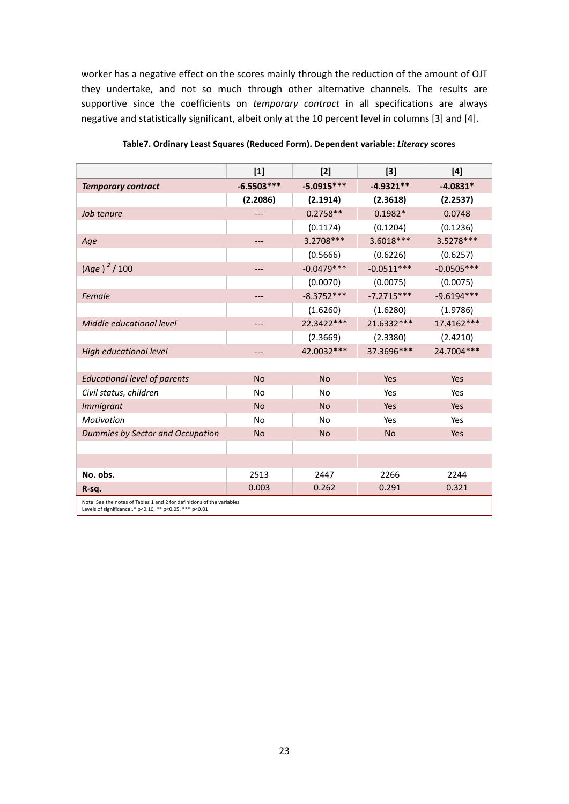worker has a negative effect on the scores mainly through the reduction of the amount of OJT they undertake, and not so much through other alternative channels. The results are supportive since the coefficients on *temporary contract* in all specifications are always negative and statistically significant, albeit only at the 10 percent level in columns [3] and [4].

|                                                                                                                                    | $[1]$        | $[2]$        | $[3]$        | $[4]$        |  |
|------------------------------------------------------------------------------------------------------------------------------------|--------------|--------------|--------------|--------------|--|
| <b>Temporary contract</b>                                                                                                          | $-6.5503***$ | $-5.0915***$ | $-4.9321**$  | $-4.0831*$   |  |
|                                                                                                                                    | (2.2086)     | (2.1914)     | (2.3618)     | (2.2537)     |  |
| Job tenure                                                                                                                         |              | $0.2758**$   | $0.1982*$    | 0.0748       |  |
|                                                                                                                                    |              | (0.1174)     | (0.1204)     | (0.1236)     |  |
| Age                                                                                                                                | ---          | 3.2708 ***   | 3.6018***    | 3.5278 ***   |  |
|                                                                                                                                    |              | (0.5666)     | (0.6226)     | (0.6257)     |  |
| $(Age)^2 / 100$                                                                                                                    | ---          | $-0.0479***$ | $-0.0511***$ | $-0.0505***$ |  |
|                                                                                                                                    |              | (0.0070)     | (0.0075)     | (0.0075)     |  |
| Female                                                                                                                             | ---          | $-8.3752***$ | $-7.2715***$ | $-9.6194***$ |  |
|                                                                                                                                    |              | (1.6260)     | (1.6280)     | (1.9786)     |  |
| Middle educational level                                                                                                           | ---          | 22.3422***   | 21.6332 ***  | 17.4162 ***  |  |
|                                                                                                                                    |              | (2.3669)     | (2.3380)     | (2.4210)     |  |
| High educational level                                                                                                             | ---          | 42.0032 ***  | 37.3696***   | 24.7004 ***  |  |
|                                                                                                                                    |              |              |              |              |  |
| <b>Educational level of parents</b>                                                                                                | <b>No</b>    | <b>No</b>    | Yes          | Yes          |  |
| Civil status, children                                                                                                             | <b>No</b>    | No           | Yes          | Yes          |  |
| <b>Immigrant</b>                                                                                                                   | <b>No</b>    | <b>No</b>    | Yes          | Yes          |  |
| Motivation                                                                                                                         | <b>No</b>    | <b>No</b>    | Yes          | Yes          |  |
| Dummies by Sector and Occupation                                                                                                   | <b>No</b>    | <b>No</b>    | <b>No</b>    | Yes          |  |
|                                                                                                                                    |              |              |              |              |  |
|                                                                                                                                    |              |              |              |              |  |
| No. obs.                                                                                                                           | 2513         | 2447         | 2266         | 2244         |  |
| R-sq.                                                                                                                              | 0.003        | 0.262        | 0.291        | 0.321        |  |
| Note: See the notes of Tables 1 and 2 for definitions of the variables.<br>Levels of significance: * p<0.10, ** p<0.05, *** p<0.01 |              |              |              |              |  |

 **Table7. Ordinary Least Squares (Reduced Form). Dependent variable:** *Literacy* **scores**

23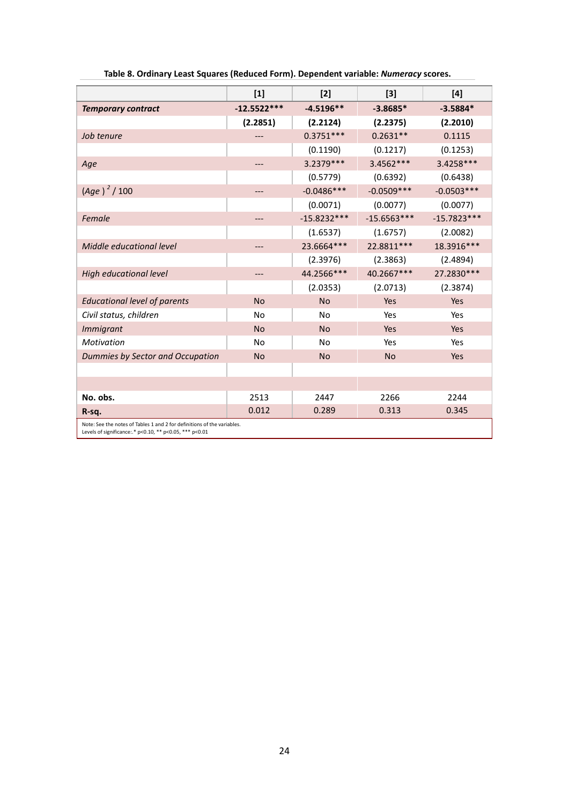|                                                                                                                                    | $[1]$         | $[2]$         | $[3]$         | $[4]$         |  |
|------------------------------------------------------------------------------------------------------------------------------------|---------------|---------------|---------------|---------------|--|
| <b>Temporary contract</b>                                                                                                          | $-12.5522***$ | $-4.5196**$   | $-3.8685*$    | $-3.5884*$    |  |
|                                                                                                                                    | (2.2851)      | (2.2124)      | (2.2375)      | (2.2010)      |  |
| Job tenure                                                                                                                         |               | $0.3751***$   | $0.2631**$    | 0.1115        |  |
|                                                                                                                                    |               | (0.1190)      | (0.1217)      | (0.1253)      |  |
| Age                                                                                                                                | $---$         | 3.2379 ***    | 3.4562 ***    | 3.4258***     |  |
|                                                                                                                                    |               | (0.5779)      | (0.6392)      | (0.6438)      |  |
| $(Age)^2 / 100$                                                                                                                    | ---           | $-0.0486***$  | $-0.0509***$  | $-0.0503***$  |  |
|                                                                                                                                    |               | (0.0071)      | (0.0077)      | (0.0077)      |  |
| Female                                                                                                                             | ---           | $-15.8232***$ | $-15.6563***$ | $-15.7823***$ |  |
|                                                                                                                                    |               | (1.6537)      | (1.6757)      | (2.0082)      |  |
| Middle educational level                                                                                                           | ---           | 23.6664***    | 22.8811 ***   | 18.3916***    |  |
|                                                                                                                                    |               | (2.3976)      | (2.3863)      | (2.4894)      |  |
| High educational level                                                                                                             | ---           | 44.2566***    | 40.2667***    | 27.2830 ***   |  |
|                                                                                                                                    |               | (2.0353)      | (2.0713)      | (2.3874)      |  |
| <b>Educational level of parents</b>                                                                                                | <b>No</b>     | <b>No</b>     | Yes           | Yes           |  |
| Civil status, children                                                                                                             | <b>No</b>     | <b>No</b>     | Yes           | Yes           |  |
| <b>Immigrant</b>                                                                                                                   | <b>No</b>     | <b>No</b>     | Yes           | Yes           |  |
| <b>Motivation</b>                                                                                                                  | <b>No</b>     | <b>No</b>     | Yes           | Yes           |  |
| Dummies by Sector and Occupation                                                                                                   | <b>No</b>     | <b>No</b>     | <b>No</b>     | Yes           |  |
|                                                                                                                                    |               |               |               |               |  |
|                                                                                                                                    |               |               |               |               |  |
| No. obs.                                                                                                                           | 2513          | 2447          | 2266          | 2244          |  |
| R-sq.                                                                                                                              | 0.012         | 0.289         | 0.313         | 0.345         |  |
| Note: See the notes of Tables 1 and 2 for definitions of the variables.<br>Levels of significance:.* p<0.10, ** p<0.05, *** p<0.01 |               |               |               |               |  |

|  | Table 8. Ordinary Least Squares (Reduced Form). Dependent variable: Numeracy scores. |  |
|--|--------------------------------------------------------------------------------------|--|
|--|--------------------------------------------------------------------------------------|--|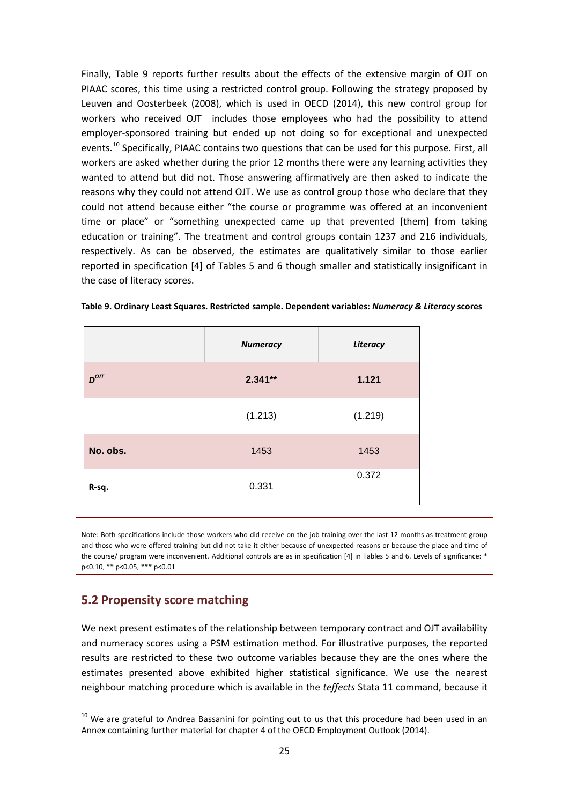Finally, Table 9 reports further results about the effects of the extensive margin of OJT on PIAAC scores, this time using a restricted control group. Following the strategy proposed by Leuven and Oosterbeek (2008), which is used in OECD (2014), this new control group for workers who received OJT includes those employees who had the possibility to attend employer-sponsored training but ended up not doing so for exceptional and unexpected events.<sup>[10](#page-22-0)</sup> Specifically, PIAAC contains two questions that can be used for this purpose. First, all workers are asked whether during the prior 12 months there were any learning activities they wanted to attend but did not. Those answering affirmatively are then asked to indicate the reasons why they could not attend OJT. We use as control group those who declare that they could not attend because either "the course or programme was offered at an inconvenient time or place" or "something unexpected came up that prevented [them] from taking education or training". The treatment and control groups contain 1237 and 216 individuals, respectively. As can be observed, the estimates are qualitatively similar to those earlier reported in specification [4] of Tables 5 and 6 though smaller and statistically insignificant in the case of literacy scores.

|           | <b>Numeracy</b> | Literacy |
|-----------|-----------------|----------|
| $D^{OJT}$ | $2.341**$       | 1.121    |
|           | (1.213)         | (1.219)  |
| No. obs.  | 1453            | 1453     |
| R-sq.     | 0.331           | 0.372    |

**Table 9. Ordinary Least Squares. Restricted sample. Dependent variables:** *Numeracy & Literacy* **scores**

Note: Both specifications include those workers who did receive on the job training over the last 12 months as treatment group and those who were offered training but did not take it either because of unexpected reasons or because the place and time of the course/ program were inconvenient. Additional controls are as in specification [4] in Tables 5 and 6. Levels of significance: \* p<0.10, \*\* p<0.05, \*\*\* p<0.01

#### **5.2 Propensity score matching**

We next present estimates of the relationship between temporary contract and OJT availability and numeracy scores using a PSM estimation method. For illustrative purposes, the reported results are restricted to these two outcome variables because they are the ones where the estimates presented above exhibited higher statistical significance. We use the nearest neighbour matching procedure which is available in the *teffects* Stata 11 command, because it

 $10$  We are grateful to Andrea Bassanini for pointing out to us that this procedure had been used in an Annex containing further material for chapter 4 of the OECD Employment Outlook (2014).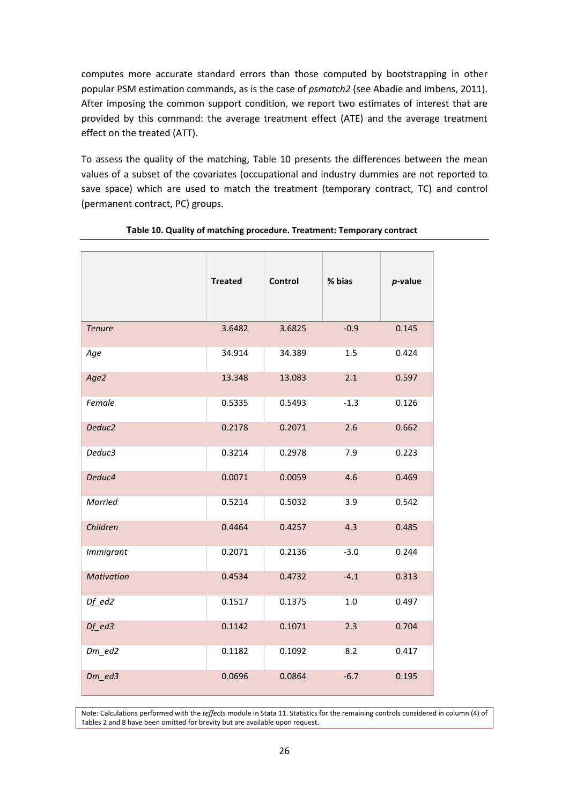computes more accurate standard errors than those computed by bootstrapping in other popular PSM estimation commands, as is the case of *psmatch2* (see Abadie and Imbens, 2011). After imposing the common support condition, we report two estimates of interest that are provided by this command: the average treatment effect (ATE) and the average treatment effect on the treated (ATT).

To assess the quality of the matching, Table 10 presents the differences between the mean values of a subset of the covariates (occupational and industry dummies are not reported to save space) which are used to match the treatment (temporary contract, TC) and control (permanent contract, PC) groups.

|                                  | <b>Treated</b> | <b>Control</b> | % bias | $p$ -value |
|----------------------------------|----------------|----------------|--------|------------|
| <b>Tenure</b>                    | 3.6482         | 3.6825         | $-0.9$ | 0.145      |
| Age                              | 34.914         | 34.389         | 1.5    | 0.424      |
| Age2                             | 13.348         | 13.083         | 2.1    | 0.597      |
| Female                           | 0.5335         | 0.5493         | $-1.3$ | 0.126      |
| Deduc <sub>2</sub>               | 0.2178         | 0.2071         | 2.6    | 0.662      |
| Deduc3                           | 0.3214         | 0.2978         | 7.9    | 0.223      |
| Deduc4                           | 0.0071         | 0.0059         | 4.6    | 0.469      |
| Married                          | 0.5214         | 0.5032         | 3.9    | 0.542      |
| Children                         | 0.4464         | 0.4257         | 4.3    | 0.485      |
| <b>Immigrant</b>                 | 0.2071         | 0.2136         | $-3.0$ | 0.244      |
| Motivation                       | 0.4534         | 0.4732         | $-4.1$ | 0.313      |
| $Df$ <sup><math>ed2</math></sup> | 0.1517         | 0.1375         | $1.0$  | 0.497      |
| $Df$ <sup><math>ed3</math></sup> | 0.1142         | 0.1071         | 2.3    | 0.704      |
| $Dm$ <sup>ed2</sup>              | 0.1182         | 0.1092         | 8.2    | 0.417      |
| $Dm$ <sup>ed3</sup>              | 0.0696         | 0.0864         | $-6.7$ | 0.195      |

#### **Table 10. Quality of matching procedure. Treatment: Temporary contract**

Note: Calculations performed with the *teffects* module in Stata 11. Statistics for the remaining controls considered in column (4) of Tables 2 and 8 have been omitted for brevity but are available upon request.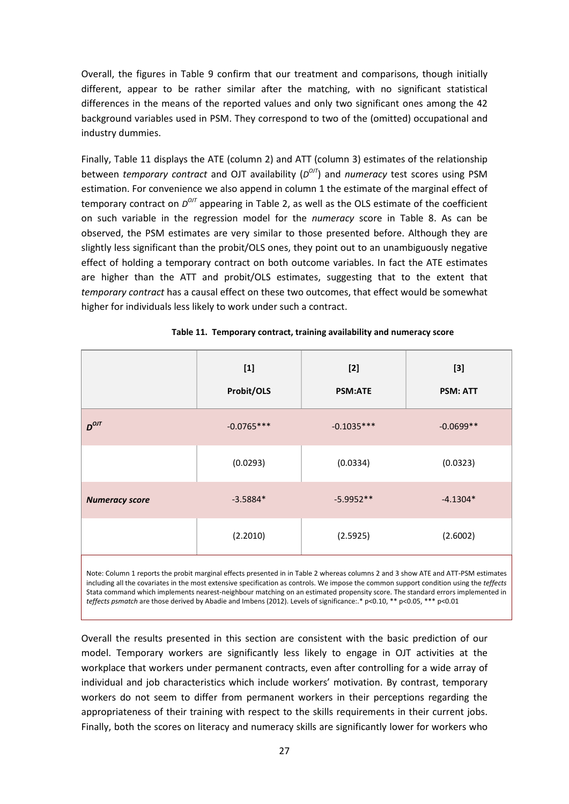Overall, the figures in Table 9 confirm that our treatment and comparisons, though initially different, appear to be rather similar after the matching, with no significant statistical differences in the means of the reported values and only two significant ones among the 42 background variables used in PSM. They correspond to two of the (omitted) occupational and industry dummies.

Finally, Table 11 displays the ATE (column 2) and ATT (column 3) estimates of the relationship between *temporary contract* and OJT availability ( $D^{O/I}$ ) and *numeracy* test scores using PSM estimation. For convenience we also append in column 1 the estimate of the marginal effect of temporary contract on  $D^{OJI}$  appearing in Table 2, as well as the OLS estimate of the coefficient on such variable in the regression model for the *numeracy* score in Table 8. As can be observed, the PSM estimates are very similar to those presented before. Although they are slightly less significant than the probit/OLS ones, they point out to an unambiguously negative effect of holding a temporary contract on both outcome variables. In fact the ATE estimates are higher than the ATT and probit/OLS estimates, suggesting that to the extent that *temporary contract* has a causal effect on these two outcomes, that effect would be somewhat higher for individuals less likely to work under such a contract.

|                       | $[1]$<br>Probit/OLS | $[2]$<br><b>PSM:ATE</b> | $[3]$<br><b>PSM: ATT</b> |
|-----------------------|---------------------|-------------------------|--------------------------|
| $D^{OJT}$             | $-0.0765***$        | $-0.1035***$            | $-0.0699**$              |
|                       | (0.0293)            | (0.0334)                | (0.0323)                 |
| <b>Numeracy score</b> | $-3.5884*$          | $-5.9952**$             | $-4.1304*$               |
|                       | (2.2010)            | (2.5925)                | (2.6002)                 |
|                       |                     |                         |                          |

 **Table 11. Temporary contract, training availability and numeracy score**

Note: Column 1 reports the probit marginal effects presented in in Table 2 whereas columns 2 and 3 show ATE and ATT-PSM estimates including all the covariates in the most extensive specification as controls. We impose the common support condition using the *teffects* Stata command which implements nearest-neighbour matching on an estimated propensity score. The standard errors implemented in *teffects psmatch* are those derived by Abadie and Imbens (2012). Levels of significance:.\* p<0.10, \*\* p<0.05, \*\*\* p<0.01

Overall the results presented in this section are consistent with the basic prediction of our model. Temporary workers are significantly less likely to engage in OJT activities at the workplace that workers under permanent contracts, even after controlling for a wide array of individual and job characteristics which include workers' motivation. By contrast, temporary workers do not seem to differ from permanent workers in their perceptions regarding the appropriateness of their training with respect to the skills requirements in their current jobs. Finally, both the scores on literacy and numeracy skills are significantly lower for workers who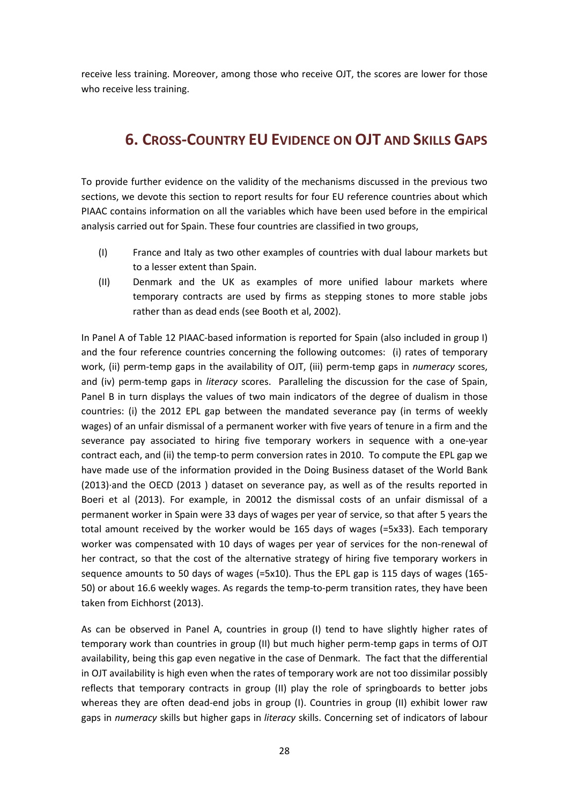receive less training. Moreover, among those who receive OJT, the scores are lower for those who receive less training.

# **6. CROSS-COUNTRY EU EVIDENCE ON OJT AND SKILLS GAPS**

To provide further evidence on the validity of the mechanisms discussed in the previous two sections, we devote this section to report results for four EU reference countries about which PIAAC contains information on all the variables which have been used before in the empirical analysis carried out for Spain. These four countries are classified in two groups,

- (I) France and Italy as two other examples of countries with dual labour markets but to a lesser extent than Spain.
- (II) Denmark and the UK as examples of more unified labour markets where temporary contracts are used by firms as stepping stones to more stable jobs rather than as dead ends (see Booth et al, 2002).

In Panel A of Table 12 PIAAC-based information is reported for Spain (also included in group I) and the four reference countries concerning the following outcomes: (i) rates of temporary work, (ii) perm-temp gaps in the availability of OJT, (iii) perm-temp gaps in *numeracy* scores, and (iv) perm-temp gaps in *literacy* scores. Paralleling the discussion for the case of Spain, Panel B in turn displays the values of two main indicators of the degree of dualism in those countries: (i) the 2012 EPL gap between the mandated severance pay (in terms of weekly wages) of an unfair dismissal of a permanent worker with five years of tenure in a firm and the severance pay associated to hiring five temporary workers in sequence with a one-year contract each, and (ii) the temp-to perm conversion rates in 2010. To compute the EPL gap we have made use of the information provided in the Doing Business dataset of the World Bank (2013)·and the OECD (2013 ) dataset on severance pay, as well as of the results reported in Boeri et al (2013). For example, in 20012 the dismissal costs of an unfair dismissal of a permanent worker in Spain were 33 days of wages per year of service, so that after 5 years the total amount received by the worker would be 165 days of wages (=5x33). Each temporary worker was compensated with 10 days of wages per year of services for the non-renewal of her contract, so that the cost of the alternative strategy of hiring five temporary workers in sequence amounts to 50 days of wages (=5x10). Thus the EPL gap is 115 days of wages (165- 50) or about 16.6 weekly wages. As regards the temp-to-perm transition rates, they have been taken from Eichhorst (2013).

As can be observed in Panel A, countries in group (I) tend to have slightly higher rates of temporary work than countries in group (II) but much higher perm-temp gaps in terms of OJT availability, being this gap even negative in the case of Denmark. The fact that the differential in OJT availability is high even when the rates of temporary work are not too dissimilar possibly reflects that temporary contracts in group (II) play the role of springboards to better jobs whereas they are often dead-end jobs in group (I). Countries in group (II) exhibit lower raw gaps in *numeracy* skills but higher gaps in *literacy* skills. Concerning set of indicators of labour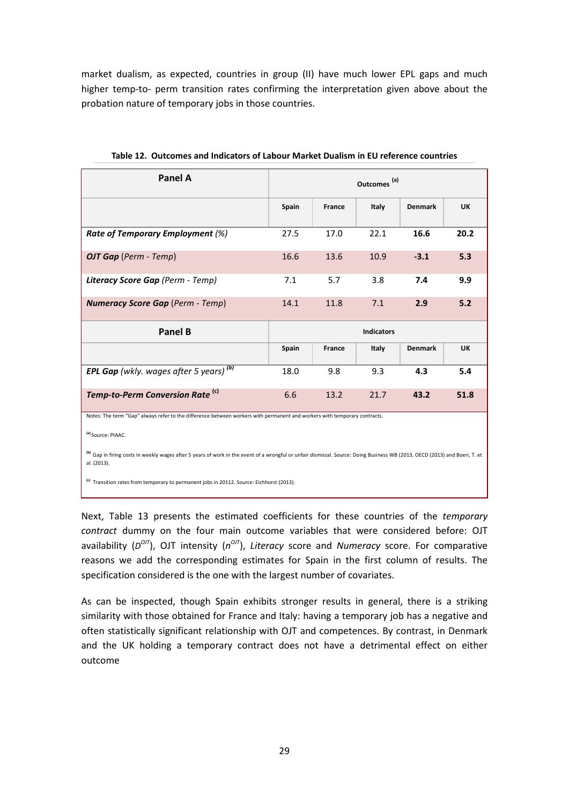market dualism, as expected, countries in group (II) have much lower EPL gaps and much higher temp-to- perm transition rates confirming the interpretation given above about the probation nature of temporary jobs in those countries.

| <b>Panel A</b>                                                                                                                                                                                                                                                                                                                            | Outcomes <sup>(a)</sup> |               |       |                |           |
|-------------------------------------------------------------------------------------------------------------------------------------------------------------------------------------------------------------------------------------------------------------------------------------------------------------------------------------------|-------------------------|---------------|-------|----------------|-----------|
|                                                                                                                                                                                                                                                                                                                                           | Spain                   | <b>France</b> | Italy | <b>Denmark</b> | <b>UK</b> |
| Rate of Temporary Employment (%)                                                                                                                                                                                                                                                                                                          | 27.5                    | 17.0          | 22.1  | 16.6           | 20.2      |
| <b>OJT Gap</b> (Perm - Temp)                                                                                                                                                                                                                                                                                                              | 16.6                    | 13.6          | 10.9  | $-3.1$         | 5.3       |
| Literacy Score Gap (Perm - Temp)                                                                                                                                                                                                                                                                                                          | 7.1                     | 5.7           | 3.8   | 7.4            | 9.9       |
| <b>Numeracy Score Gap (Perm - Temp)</b>                                                                                                                                                                                                                                                                                                   | 14.1                    | 11.8          | 7.1   | 2.9            | 5.2       |
| <b>Panel B</b>                                                                                                                                                                                                                                                                                                                            | <b>Indicators</b>       |               |       |                |           |
|                                                                                                                                                                                                                                                                                                                                           | Spain                   | <b>France</b> | Italy | <b>Denmark</b> | <b>UK</b> |
| <b>EPL Gap</b> (wkly. wages after 5 years) <sup>(b)</sup>                                                                                                                                                                                                                                                                                 | 18.0                    | 9.8           | 9.3   | 4.3            | 5.4       |
| Temp-to-Perm Conversion Rate <sup>(c)</sup>                                                                                                                                                                                                                                                                                               | 6.6                     | 13.2          | 21.7  | 43.2           | 51.8      |
| Notes: The term "Gap" always refer to the difference between workers with permanent and workers with temporary contracts.<br>(a) Source: PIAAC.<br><sup>(b)</sup> Gap in firing costs in weekly wages after 5 years of work in the event of a wrongful or unfair dismissal. Source: Doing Business WB (2013, OECD (2013) and Boeri, T. et |                         |               |       |                |           |

**Table 12. Outcomes and Indicators of Labour Market Dualism in EU reference countries**

al. (2013).

**(c)** Transition rates from temporary to permanent jobs in 20112. Source: Eichhorst (2013).

Next, Table 13 presents the estimated coefficients for these countries of the *temporary contract* dummy on the four main outcome variables that were considered before: OJT availability ( $D^{O/T}$ ), OJT intensity ( $n^{O/T}$ ), *Literacy* score and *Numeracy* score. For comparative reasons we add the corresponding estimates for Spain in the first column of results. The specification considered is the one with the largest number of covariates.

As can be inspected, though Spain exhibits stronger results in general, there is a striking similarity with those obtained for France and Italy: having a temporary job has a negative and often statistically significant relationship with OJT and competences. By contrast, in Denmark and the UK holding a temporary contract does not have a detrimental effect on either outcome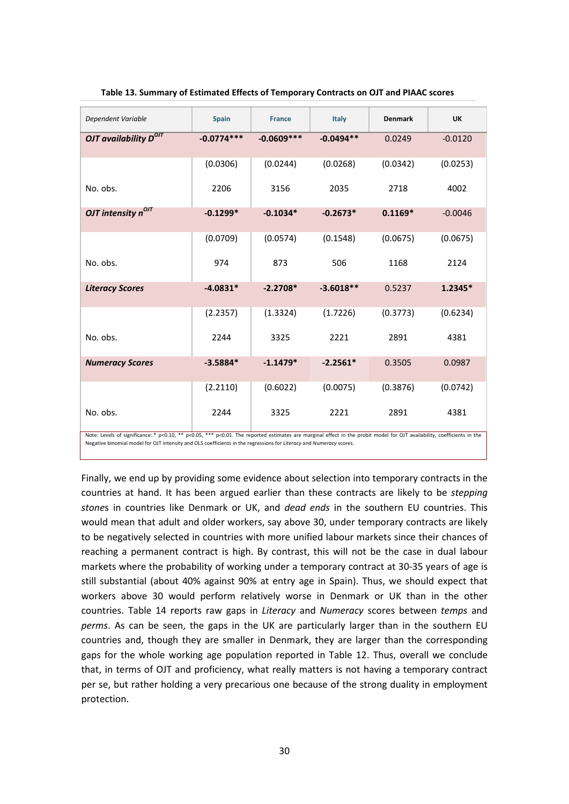| Dependent Variable                                                                                                                                                      | <b>Spain</b> | <b>France</b> | Italy       | <b>Denmark</b> | <b>UK</b> |
|-------------------------------------------------------------------------------------------------------------------------------------------------------------------------|--------------|---------------|-------------|----------------|-----------|
| OJT availability $D^{OJT}$                                                                                                                                              | $-0.0774***$ | $-0.0609***$  | $-0.0494**$ | 0.0249         | $-0.0120$ |
|                                                                                                                                                                         | (0.0306)     | (0.0244)      | (0.0268)    | (0.0342)       | (0.0253)  |
| No. obs.                                                                                                                                                                | 2206         | 3156          | 2035        | 2718           | 4002      |
| OJT intensity $n^{O/I}$                                                                                                                                                 | $-0.1299*$   | $-0.1034*$    | $-0.2673*$  | $0.1169*$      | $-0.0046$ |
|                                                                                                                                                                         | (0.0709)     | (0.0574)      | (0.1548)    | (0.0675)       | (0.0675)  |
| No. obs.                                                                                                                                                                | 974          | 873           | 506         | 1168           | 2124      |
| <b>Literacy Scores</b>                                                                                                                                                  | $-4.0831*$   | $-2.2708*$    | $-3.6018**$ | 0.5237         | $1.2345*$ |
|                                                                                                                                                                         | (2.2357)     | (1.3324)      | (1.7226)    | (0.3773)       | (0.6234)  |
| No. obs.                                                                                                                                                                | 2244         | 3325          | 2221        | 2891           | 4381      |
| <b>Numeracy Scores</b>                                                                                                                                                  | $-3.5884*$   | $-1.1479*$    | $-2.2561*$  | 0.3505         | 0.0987    |
|                                                                                                                                                                         | (2.2110)     | (0.6022)      | (0.0075)    | (0.3876)       | (0.0742)  |
| No. obs.                                                                                                                                                                | 2244         | 3325          | 2221        | 2891           | 4381      |
| Note: Levels of significance: * p<0.10, ** p<0.05, *** p<0.01. The reported estimates are marginal effect in the probit model for OJT availability, coefficients in the |              |               |             |                |           |

Negative binomial model for OJT intensity and OLS coefficients in the regressions for *Literacy* and *Numeracy* scores.

Finally, we end up by providing some evidence about selection into temporary contracts in the countries at hand. It has been argued earlier than these contracts are likely to be *stepping stone*s in countries like Denmark or UK, and *dead ends* in the southern EU countries. This would mean that adult and older workers, say above 30, under temporary contracts are likely to be negatively selected in countries with more unified labour markets since their chances of reaching a permanent contract is high. By contrast, this will not be the case in dual labour markets where the probability of working under a temporary contract at 30-35 years of age is still substantial (about 40% against 90% at entry age in Spain). Thus, we should expect that workers above 30 would perform relatively worse in Denmark or UK than in the other countries. Table 14 reports raw gaps in *Literacy* and *Numeracy* scores between *temps* and *perms*. As can be seen, the gaps in the UK are particularly larger than in the southern EU countries and, though they are smaller in Denmark, they are larger than the corresponding gaps for the whole working age population reported in Table 12. Thus, overall we conclude that, in terms of OJT and proficiency, what really matters is not having a temporary contract per se, but rather holding a very precarious one because of the strong duality in employment protection.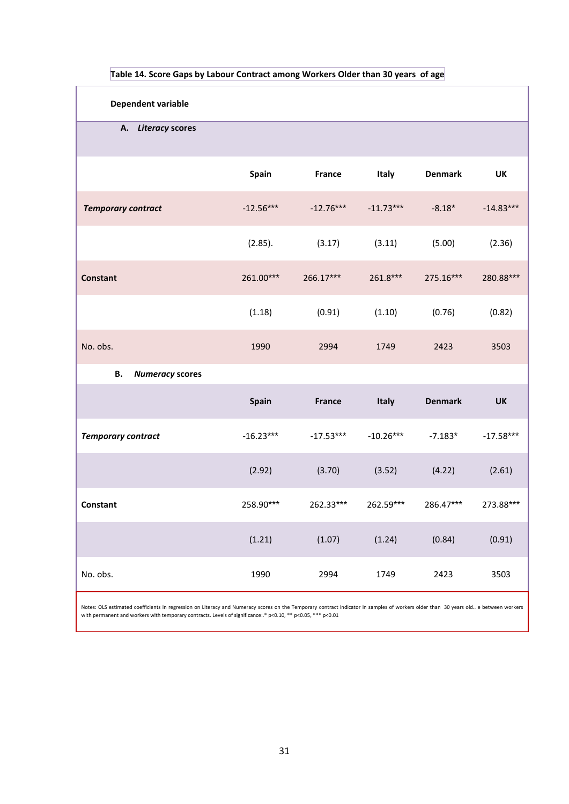| <b>Dependent variable</b>                                                                                                                                                                                                                                                                           |              |               |              |                |             |
|-----------------------------------------------------------------------------------------------------------------------------------------------------------------------------------------------------------------------------------------------------------------------------------------------------|--------------|---------------|--------------|----------------|-------------|
| A. Literacy scores                                                                                                                                                                                                                                                                                  |              |               |              |                |             |
|                                                                                                                                                                                                                                                                                                     | Spain        | <b>France</b> | <b>Italy</b> | <b>Denmark</b> | UK          |
| <b>Temporary contract</b>                                                                                                                                                                                                                                                                           | $-12.56***$  | $-12.76***$   | $-11.73***$  | $-8.18*$       | $-14.83***$ |
|                                                                                                                                                                                                                                                                                                     | (2.85).      | (3.17)        | (3.11)       | (5.00)         | (2.36)      |
| <b>Constant</b>                                                                                                                                                                                                                                                                                     | 261.00***    | 266.17***     | $261.8***$   | 275.16***      | 280.88***   |
|                                                                                                                                                                                                                                                                                                     | (1.18)       | (0.91)        | (1.10)       | (0.76)         | (0.82)      |
| No. obs.                                                                                                                                                                                                                                                                                            | 1990         | 2994          | 1749         | 2423           | 3503        |
| В.<br><b>Numeracy scores</b>                                                                                                                                                                                                                                                                        |              |               |              |                |             |
|                                                                                                                                                                                                                                                                                                     | <b>Spain</b> | France        | Italy        | <b>Denmark</b> | UK          |
| <b>Temporary contract</b>                                                                                                                                                                                                                                                                           | $-16.23***$  | $-17.53***$   | $-10.26***$  | $-7.183*$      | $-17.58***$ |
|                                                                                                                                                                                                                                                                                                     | (2.92)       | (3.70)        | (3.52)       | (4.22)         | (2.61)      |
| Constant                                                                                                                                                                                                                                                                                            | 258.90***    | 262.33***     | 262.59***    | 286.47***      | 273.88***   |
|                                                                                                                                                                                                                                                                                                     | (1.21)       | (1.07)        | (1.24)       | (0.84)         | (0.91)      |
| No. obs.                                                                                                                                                                                                                                                                                            | 1990         | 2994          | 1749         | 2423           | 3503        |
| Notes: OLS estimated coefficients in regression on Literacy and Numeracy scores on the Temporary contract indicator in samples of workers older than 30 years old e between workers<br>with permanent and workers with temporary contracts. Levels of significance: * p<0.10, ** p<0.05, *** p<0.01 |              |               |              |                |             |

**Table 14. Score Gaps by Labour Contract among Workers Older than 30 years of age**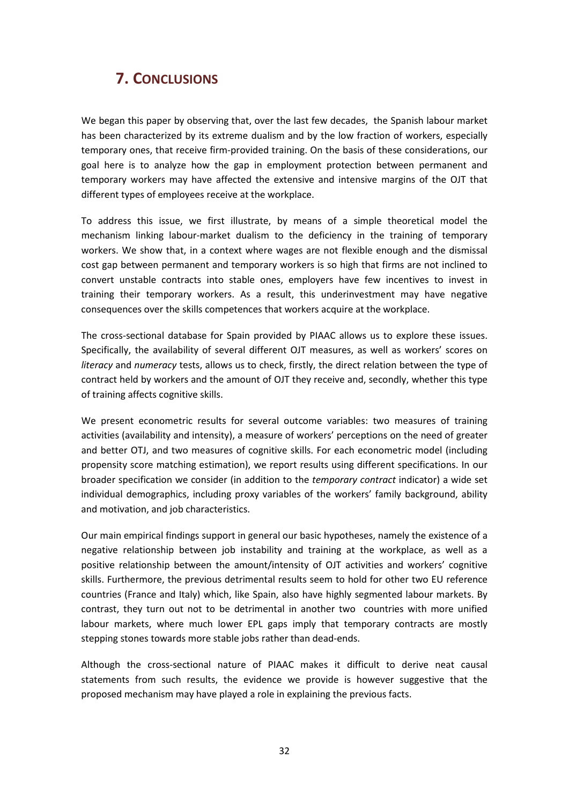# **7. CONCLUSIONS**

We began this paper by observing that, over the last few decades, the Spanish labour market has been characterized by its extreme dualism and by the low fraction of workers, especially temporary ones, that receive firm-provided training. On the basis of these considerations, our goal here is to analyze how the gap in employment protection between permanent and temporary workers may have affected the extensive and intensive margins of the OJT that different types of employees receive at the workplace.

To address this issue, we first illustrate, by means of a simple theoretical model the mechanism linking labour-market dualism to the deficiency in the training of temporary workers. We show that, in a context where wages are not flexible enough and the dismissal cost gap between permanent and temporary workers is so high that firms are not inclined to convert unstable contracts into stable ones, employers have few incentives to invest in training their temporary workers. As a result, this underinvestment may have negative consequences over the skills competences that workers acquire at the workplace.

The cross-sectional database for Spain provided by PIAAC allows us to explore these issues. Specifically, the availability of several different OJT measures, as well as workers' scores on *literacy* and *numeracy* tests, allows us to check, firstly, the direct relation between the type of contract held by workers and the amount of OJT they receive and, secondly, whether this type of training affects cognitive skills.

We present econometric results for several outcome variables: two measures of training activities (availability and intensity), a measure of workers' perceptions on the need of greater and better OTJ, and two measures of cognitive skills. For each econometric model (including propensity score matching estimation), we report results using different specifications. In our broader specification we consider (in addition to the *temporary contract* indicator) a wide set individual demographics, including proxy variables of the workers' family background, ability and motivation, and job characteristics.

Our main empirical findings support in general our basic hypotheses, namely the existence of a negative relationship between job instability and training at the workplace, as well as a positive relationship between the amount/intensity of OJT activities and workers' cognitive skills. Furthermore, the previous detrimental results seem to hold for other two EU reference countries (France and Italy) which, like Spain, also have highly segmented labour markets. By contrast, they turn out not to be detrimental in another two countries with more unified labour markets, where much lower EPL gaps imply that temporary contracts are mostly stepping stones towards more stable jobs rather than dead-ends.

Although the cross-sectional nature of PIAAC makes it difficult to derive neat causal statements from such results, the evidence we provide is however suggestive that the proposed mechanism may have played a role in explaining the previous facts.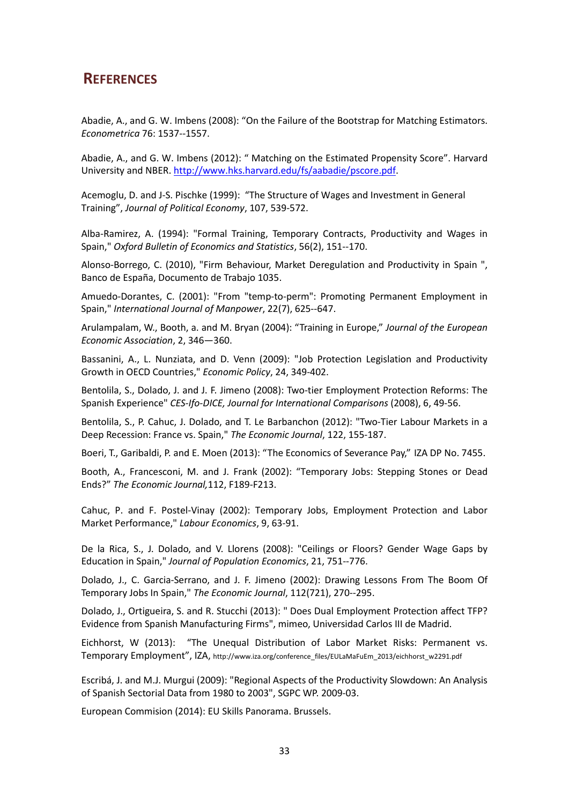### **REFERENCES**

Abadie, A., and G. W. Imbens (2008): "On the Failure of the Bootstrap for Matching Estimators. *Econometrica* 76: 1537--1557.

Abadie, A., and G. W. Imbens (2012): " Matching on the Estimated Propensity Score". Harvard University and NBER[. http://www.hks.harvard.edu/fs/aabadie/pscore.pdf.](http://www.hks.harvard.edu/fs/aabadie/pscore.pdf)

Acemoglu, D. and J-S. Pischke (1999): "The Structure of Wages and Investment in General Training", *Journal of Political Economy*, 107, 539-572.

Alba-Ramirez, A. (1994): "Formal Training, Temporary Contracts, Productivity and Wages in Spain," *Oxford Bulletin of Economics and Statistics*, 56(2), 151--170.

Alonso-Borrego, C. (2010), "Firm Behaviour, Market Deregulation and Productivity in Spain ", Banco de España, Documento de Trabajo 1035.

Amuedo-Dorantes, C. (2001): "From "temp-to-perm": Promoting Permanent Employment in Spain," *International Journal of Manpower*, 22(7), 625--647.

Arulampalam, W., Booth, a. and M. Bryan (2004): "Training in Europe," *Journal of the European Economic Association*, 2, 346—360.

Bassanini, A., L. Nunziata, and D. Venn (2009): "Job Protection Legislation and Productivity Growth in OECD Countries," *Economic Policy*, 24, 349-402.

Bentolila, S., Dolado, J. and J. F. Jimeno (2008): Two-tier Employment Protection Reforms: The Spanish Experience" *CES-Ifo-DICE, Journal for International Comparisons* (2008), 6, 49-56.

Bentolila, S., P. Cahuc, J. Dolado, and T. Le Barbanchon (2012): "Two-Tier Labour Markets in a Deep Recession: France vs. Spain," *The Economic Journal*, 122, 155-187.

Boeri, T., Garibaldi, P. and E. Moen (2013): "The Economics of Severance Pay," IZA DP No. 7455.

Booth, A., Francesconi, M. and J. Frank (2002): "Temporary Jobs: Stepping Stones or Dead Ends?" *The Economic Journal,*112, F189-F213.

Cahuc, P. and F. Postel-Vinay (2002): Temporary Jobs, Employment Protection and Labor Market Performance," *Labour Economics*, 9, 63-91.

De la Rica, S., J. Dolado, and V. Llorens (2008): "Ceilings or Floors? Gender Wage Gaps by Education in Spain," *Journal of Population Economics*, 21, 751--776.

Dolado, J., C. Garcia-Serrano, and J. F. Jimeno (2002): Drawing Lessons From The Boom Of Temporary Jobs In Spain," *The Economic Journal*, 112(721), 270--295.

Dolado, J., Ortigueira, S. and R. Stucchi (2013): " Does Dual Employment Protection affect TFP? Evidence from Spanish Manufacturing Firms", mimeo, Universidad Carlos III de Madrid.

Eichhorst, W (2013): "The Unequal Distribution of Labor Market Risks: Permanent vs. Temporary Employment", IZA, http://www.iza.org/conference\_files/EULaMaFuEm\_2013/eichhorst\_w2291.pdf

Escribá, J. and M.J. Murgui (2009): "Regional Aspects of the Productivity Slowdown: An Analysis of Spanish Sectorial Data from 1980 to 2003", SGPC WP. 2009-03.

European Commision (2014): EU Skills Panorama. Brussels.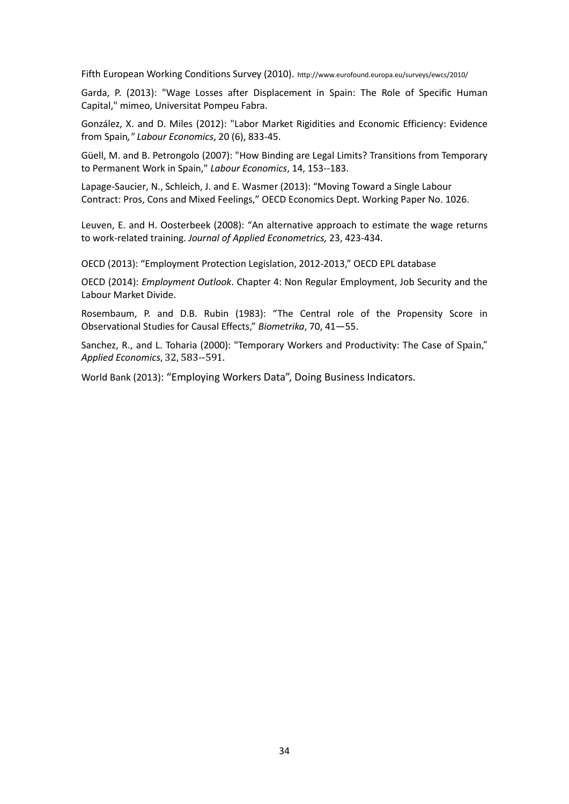Fifth European Working Conditions Survey (2010). http://www.eurofound.europa.eu/surveys/ewcs/2010/

Garda, P. (2013): "Wage Losses after Displacement in Spain: The Role of Specific Human Capital," mimeo, Universitat Pompeu Fabra.

González, X. and D. Miles (2012): "Labor Market Rigidities and Economic Efficiency: Evidence from Spain*," Labour Economics*, 20 (6), 833-45.

Güell, M. and B. Petrongolo (2007): "How Binding are Legal Limits? Transitions from Temporary to Permanent Work in Spain," *Labour Economics*, 14, 153--183.

Lapage-Saucier, N., Schleich, J. and E. Wasmer (2013): "Moving Toward a Single Labour Contract: Pros, Cons and Mixed Feelings," OECD Economics Dept. Working Paper No. 1026.

Leuven, E. and H. Oosterbeek (2008): "An alternative approach to estimate the wage returns to work-related training. *Journal of Applied Econometrics,* 23, 423-434.

OECD (2013): "Employment Protection Legislation, 2012-2013," OECD EPL database

OECD (2014): *Employment Outlook*. Chapter 4: Non Regular Employment, Job Security and the Labour Market Divide.

Rosembaum, P. and D.B. Rubin (1983): "The Central role of the Propensity Score in Observational Studies for Causal Effects," *Biometrika*, 70, 41—55.

Sanchez, R., and L. Toharia (2000): "Temporary Workers and Productivity: The Case of Spain," *Applied Economics*, 32, 583--591.

World Bank (2013): "Employing Workers Data", Doing Business Indicators.